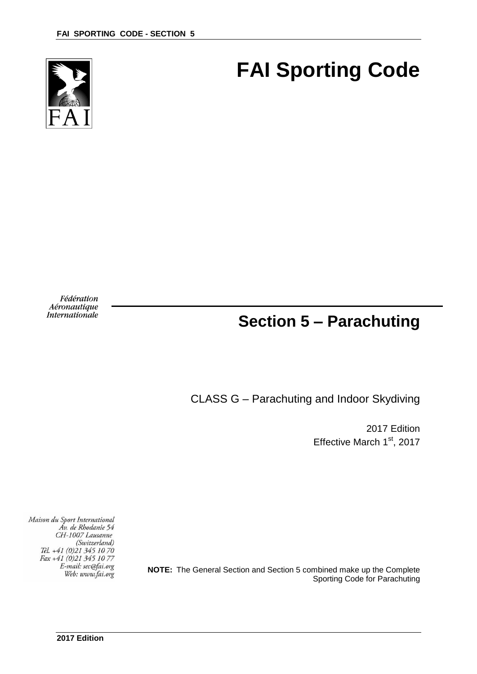

# **FAI Sporting Code**

Fédération Aéronautique Internationale

## **Section 5 – Parachuting**

CLASS G – Parachuting and Indoor Skydiving

2017 Edition Effective March 1<sup>st</sup>, 2017

**NOTE:** The General Section and Section 5 combined make up the Complete Sporting Code for Parachuting

Maison du Sport International Áv. de Rhodanie 54 CH-1007 Lausanne (Switzerland) Tél. +41 (0)21 345 10 70 Fax +41 (0)21 345 10 77 E-mail: sec@fai.org Web: www.fai.org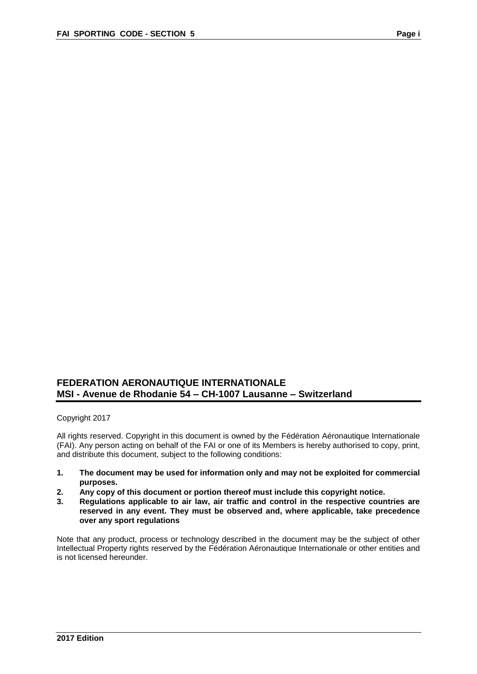## **FEDERATION AERONAUTIQUE INTERNATIONALE MSI - Avenue de Rhodanie 54 – CH-1007 Lausanne – Switzerland**

Copyright 2017

All rights reserved. Copyright in this document is owned by the Fédération Aéronautique Internationale (FAI). Any person acting on behalf of the FAI or one of its Members is hereby authorised to copy, print, and distribute this document, subject to the following conditions:

- **1. The document may be used for information only and may not be exploited for commercial purposes.**
- **2. Any copy of this document or portion thereof must include this copyright notice.**
- **3. Regulations applicable to air law, air traffic and control in the respective countries are reserved in any event. They must be observed and, where applicable, take precedence over any sport regulations**

Note that any product, process or technology described in the document may be the subject of other Intellectual Property rights reserved by the Fédération Aéronautique Internationale or other entities and is not licensed hereunder.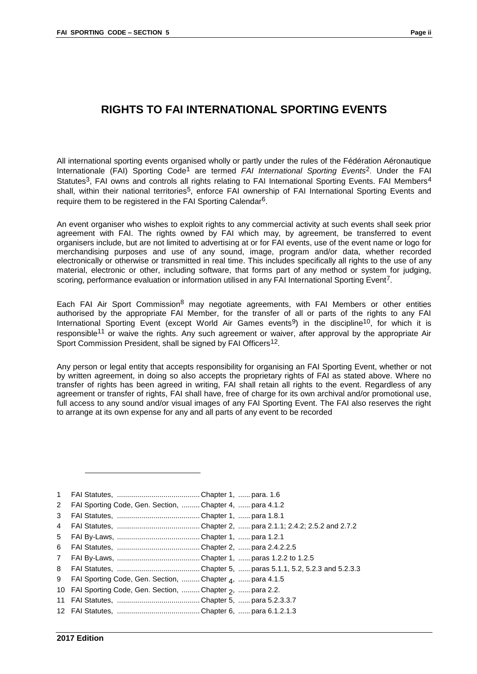## **RIGHTS TO FAI INTERNATIONAL SPORTING EVENTS**

All international sporting events organised wholly or partly under the rules of the Fédération Aéronautique Internationale (FAI) Sporting Code1 are termed *FAI International Sporting Events*2. Under the FAI Statutes<sup>3</sup>, FAI owns and controls all rights relating to FAI International Sporting Events. FAI Members<sup>4</sup> shall, within their national territories<sup>5</sup>, enforce FAI ownership of FAI International Sporting Events and require them to be registered in the FAI Sporting Calendar6.

An event organiser who wishes to exploit rights to any commercial activity at such events shall seek prior agreement with FAI. The rights owned by FAI which may, by agreement, be transferred to event organisers include, but are not limited to advertising at or for FAI events, use of the event name or logo for merchandising purposes and use of any sound, image, program and/or data, whether recorded electronically or otherwise or transmitted in real time. This includes specifically all rights to the use of any material, electronic or other, including software, that forms part of any method or system for judging, scoring, performance evaluation or information utilised in any FAI International Sporting Event<sup>7</sup>.

Each FAI Air Sport Commission<sup>8</sup> may negotiate agreements, with FAI Members or other entities authorised by the appropriate FAI Member, for the transfer of all or parts of the rights to any FAI International Sporting Event (except World Air Games events<sup>9</sup>) in the discipline<sup>10</sup>, for which it is responsible<sup>11</sup> or waive the rights. Any such agreement or waiver, after approval by the appropriate Air Sport Commission President, shall be signed by FAI Officers<sup>12</sup>.

Any person or legal entity that accepts responsibility for organising an FAI Sporting Event, whether or not by written agreement, in doing so also accepts the proprietary rights of FAI as stated above. Where no transfer of rights has been agreed in writing, FAI shall retain all rights to the event. Regardless of any agreement or transfer of rights, FAI shall have, free of charge for its own archival and/or promotional use, full access to any sound and/or visual images of any FAI Sporting Event. The FAI also reserves the right to arrange at its own expense for any and all parts of any event to be recorded

|--|--|--|

- 2 FAI Sporting Code, Gen. Section, ......... Chapter 4, ...... para 4.1.2
- 3 FAI Statutes, ......................................... Chapter 1, ...... para 1.8.1
- 4 FAI Statutes, ......................................... Chapter 2, ...... para 2.1.1; 2.4.2; 2.5.2 and 2.7.2
- 5 FAI By-Laws, ......................................... Chapter 1, ...... para 1.2.1
- 6 FAI Statutes, ......................................... Chapter 2, ...... para 2.4.2.2.5
- 7 FAI By-Laws, ......................................... Chapter 1, ...... paras 1.2.2 to 1.2.5
- 8 FAI Statutes, ......................................... Chapter 5, ...... paras 5.1.1, 5.2, 5.2.3 and 5.2.3.3
- 9 FAI Sporting Code, Gen. Section, ………Chapter <sub>4</sub>, ……para 4.1.5
- 10 FAI Sporting Code, Gen. Section, ......... Chapter <sub>2</sub>, ...... para 2.2.
- 11 FAI Statutes, ......................................... Chapter 5, ...... para 5.2.3.3.7
- 12 FAI Statutes, ......................................... Chapter 6, ...... para 6.1.2.1.3

-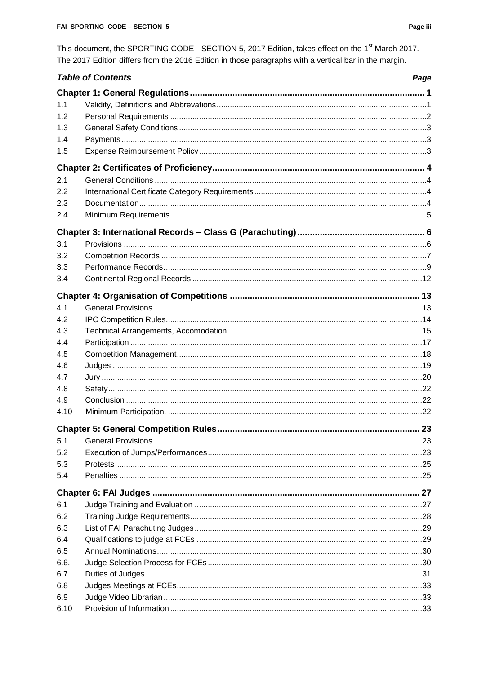This document, the SPORTING CODE - SECTION 5, 2017 Edition, takes effect on the 1<sup>st</sup> March 2017. The 2017 Edition differs from the 2016 Edition in those paragraphs with a vertical bar in the margin.

|      | <b>Table of Contents</b> | Page |
|------|--------------------------|------|
|      |                          |      |
| 1.1  |                          |      |
| 1.2  |                          |      |
| 1.3  |                          |      |
| 1.4  |                          |      |
| 1.5  |                          |      |
|      |                          |      |
| 2.1  |                          |      |
| 2.2  |                          |      |
| 2.3  |                          |      |
| 2.4  |                          |      |
|      |                          |      |
| 3.1  |                          |      |
| 3.2  |                          |      |
| 3.3  |                          |      |
| 3.4  |                          |      |
|      |                          |      |
| 4.1  |                          |      |
| 4.2  |                          |      |
| 4.3  |                          |      |
| 4.4  |                          |      |
| 4.5  |                          |      |
| 4.6  |                          |      |
| 4.7  |                          |      |
| 4.8  |                          |      |
| 4.9  |                          |      |
| 4.10 |                          |      |
|      |                          |      |
| 5.1  |                          |      |
| 5.2  |                          |      |
| 5.3  |                          |      |
| 5.4  |                          |      |
|      |                          |      |
| 6.1  |                          |      |
| 6.2  |                          |      |
| 6.3  |                          |      |
| 6.4  |                          |      |
| 6.5  |                          |      |
| 6.6. |                          |      |
| 6.7  |                          |      |
| 6.8  |                          |      |
| 6.9  |                          |      |
| 6.10 |                          |      |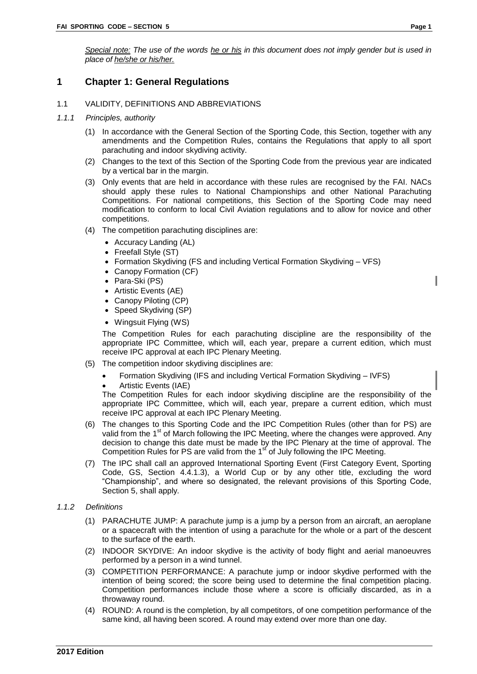## <span id="page-4-0"></span>**1 Chapter 1: General Regulations**

- <span id="page-4-1"></span>1.1 VALIDITY, DEFINITIONS AND ABBREVIATIONS
- *1.1.1 Principles, authority*
	- (1) In accordance with the General Section of the Sporting Code, this Section, together with any amendments and the Competition Rules, contains the Regulations that apply to all sport parachuting and indoor skydiving activity.
	- (2) Changes to the text of this Section of the Sporting Code from the previous year are indicated by a vertical bar in the margin.
	- (3) Only events that are held in accordance with these rules are recognised by the FAI. NACs should apply these rules to National Championships and other National Parachuting Competitions. For national competitions, this Section of the Sporting Code may need modification to conform to local Civil Aviation regulations and to allow for novice and other competitions.
	- (4) The competition parachuting disciplines are:
		- Accuracy Landing (AL)
		- Freefall Style (ST)
		- Formation Skydiving (FS and including Vertical Formation Skydiving VFS)
		- Canopy Formation (CF)
		- Para-Ski (PS)
		- Artistic Events (AE)
		- Canopy Piloting (CP)
		- Speed Skydiving (SP)
		- Wingsuit Flying (WS)

The Competition Rules for each parachuting discipline are the responsibility of the appropriate IPC Committee, which will, each year, prepare a current edition, which must receive IPC approval at each IPC Plenary Meeting.

- (5) The competition indoor skydiving disciplines are:
	- Formation Skydiving (IFS and including Vertical Formation Skydiving IVFS)
	- Artistic Events (IAE)

The Competition Rules for each indoor skydiving discipline are the responsibility of the appropriate IPC Committee, which will, each year, prepare a current edition, which must receive IPC approval at each IPC Plenary Meeting.

- (6) The changes to this Sporting Code and the IPC Competition Rules (other than for PS) are valid from the 1<sup>st</sup> of March following the IPC Meeting, where the changes were approved. Any decision to change this date must be made by the IPC Plenary at the time of approval. The Competition Rules for PS are valid from the  $1<sup>st</sup>$  of July following the IPC Meeting.
- (7) The IPC shall call an approved International Sporting Event (First Category Event, Sporting Code, GS, Section 4.4.1.3), a World Cup or by any other title, excluding the word "Championship", and where so designated, the relevant provisions of this Sporting Code, Section 5, shall apply.
- *1.1.2 Definitions*
	- (1) PARACHUTE JUMP: A parachute jump is a jump by a person from an aircraft, an aeroplane or a spacecraft with the intention of using a parachute for the whole or a part of the descent to the surface of the earth.
	- (2) INDOOR SKYDIVE: An indoor skydive is the activity of body flight and aerial manoeuvres performed by a person in a wind tunnel.
	- (3) COMPETITION PERFORMANCE: A parachute jump or indoor skydive performed with the intention of being scored; the score being used to determine the final competition placing. Competition performances include those where a score is officially discarded, as in a throwaway round.
	- (4) ROUND: A round is the completion, by all competitors, of one competition performance of the same kind, all having been scored. A round may extend over more than one day.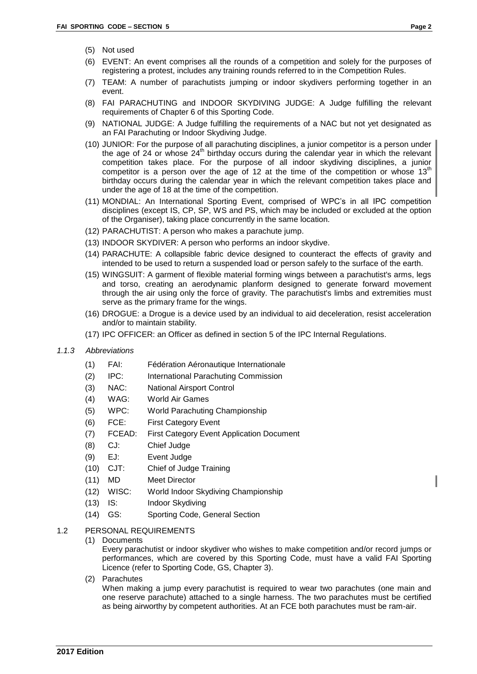- (5) Not used
- (6) EVENT: An event comprises all the rounds of a competition and solely for the purposes of registering a protest, includes any training rounds referred to in the Competition Rules.
- (7) TEAM: A number of parachutists jumping or indoor skydivers performing together in an event.
- (8) FAI PARACHUTING and INDOOR SKYDIVING JUDGE: A Judge fulfilling the relevant requirements of Chapter 6 of this Sporting Code.
- (9) NATIONAL JUDGE: A Judge fulfilling the requirements of a NAC but not yet designated as an FAI Parachuting or Indoor Skydiving Judge.
- (10) JUNIOR: For the purpose of all parachuting disciplines, a junior competitor is a person under the age of 24 or whose 24<sup>th</sup> birthday occurs during the calendar year in which the relevant competition takes place. For the purpose of all indoor skydiving disciplines, a junior competitor is a person over the age of 12 at the time of the competition or whose  $13<sup>th</sup>$ birthday occurs during the calendar year in which the relevant competition takes place and under the age of 18 at the time of the competition.
- (11) MONDIAL: An International Sporting Event, comprised of WPC's in all IPC competition disciplines (except IS, CP, SP, WS and PS, which may be included or excluded at the option of the Organiser), taking place concurrently in the same location.
- (12) PARACHUTIST: A person who makes a parachute jump.
- (13) INDOOR SKYDIVER: A person who performs an indoor skydive.
- (14) PARACHUTE: A collapsible fabric device designed to counteract the effects of gravity and intended to be used to return a suspended load or person safely to the surface of the earth.
- (15) WINGSUIT: A garment of flexible material forming wings between a parachutist's arms, legs and torso, creating an aerodynamic planform designed to generate forward movement through the air using only the force of gravity. The parachutist's limbs and extremities must serve as the primary frame for the wings.
- (16) DROGUE: a Drogue is a device used by an individual to aid deceleration, resist acceleration and/or to maintain stability.
- (17) IPC OFFICER: an Officer as defined in section 5 of the IPC Internal Regulations.
- *1.1.3 Abbreviations*
	- (1) FAI: Fédération Aéronautique Internationale
	- (2) IPC: International Parachuting Commission
	- (3) NAC: National Airsport Control
	- (4) WAG: World Air Games
	- (5) WPC: World Parachuting Championship
	- (6) FCE: First Category Event
	- (7) FCEAD: First Category Event Application Document
	- (8) CJ: Chief Judge
	- (9) EJ: Event Judge
	- (10) CJT: Chief of Judge Training
	- (11) MD Meet Director
	- (12) WISC: World Indoor Skydiving Championship
	- (13) IS: Indoor Skydiving
	- (14) GS: Sporting Code, General Section
- <span id="page-5-0"></span>1.2 PERSONAL REQUIREMENTS
	- (1) Documents

Every parachutist or indoor skydiver who wishes to make competition and/or record jumps or performances, which are covered by this Sporting Code, must have a valid FAI Sporting Licence (refer to Sporting Code, GS, Chapter 3).

(2) Parachutes

When making a jump every parachutist is required to wear two parachutes (one main and one reserve parachute) attached to a single harness. The two parachutes must be certified as being airworthy by competent authorities. At an FCE both parachutes must be ram-air.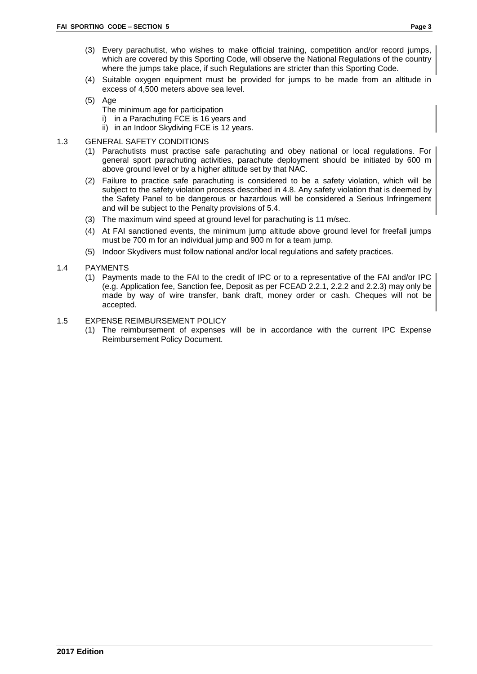- (3) Every parachutist, who wishes to make official training, competition and/or record jumps, which are covered by this Sporting Code, will observe the National Regulations of the country where the jumps take place, if such Regulations are stricter than this Sporting Code.
- (4) Suitable oxygen equipment must be provided for jumps to be made from an altitude in excess of 4,500 meters above sea level.
- (5) Age
	- The minimum age for participation
		- i) in a Parachuting FCE is 16 years and
		- ii) in an Indoor Skydiving FCE is 12 years.
- <span id="page-6-0"></span>1.3 GENERAL SAFETY CONDITIONS
	- (1) Parachutists must practise safe parachuting and obey national or local regulations. For general sport parachuting activities, parachute deployment should be initiated by 600 m above ground level or by a higher altitude set by that NAC.
	- (2) Failure to practice safe parachuting is considered to be a safety violation, which will be subject to the safety violation process described in 4.8. Any safety violation that is deemed by the Safety Panel to be dangerous or hazardous will be considered a Serious Infringement and will be subject to the Penalty provisions of 5.4.
	- (3) The maximum wind speed at ground level for parachuting is 11 m/sec.
	- (4) At FAI sanctioned events, the minimum jump altitude above ground level for freefall jumps must be 700 m for an individual jump and 900 m for a team jump.
	- (5) Indoor Skydivers must follow national and/or local regulations and safety practices.
- <span id="page-6-1"></span>1.4 PAYMENTS
	- (1) Payments made to the FAI to the credit of IPC or to a representative of the FAI and/or IPC (e.g. Application fee, Sanction fee, Deposit as per FCEAD 2.2.1, 2.2.2 and 2.2.3) may only be made by way of wire transfer, bank draft, money order or cash. Cheques will not be accepted.

#### <span id="page-6-2"></span>1.5 EXPENSE REIMBURSEMENT POLICY

(1) The reimbursement of expenses will be in accordance with the current IPC Expense Reimbursement Policy Document.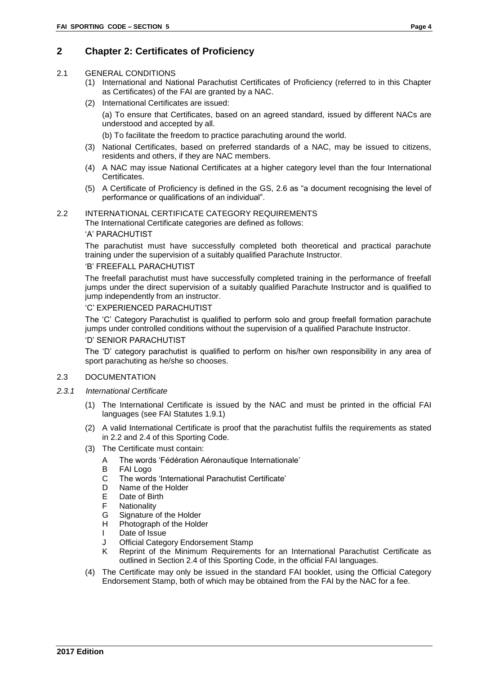## <span id="page-7-0"></span>**2 Chapter 2: Certificates of Proficiency**

#### <span id="page-7-1"></span>2.1 GENERAL CONDITIONS

- (1) International and National Parachutist Certificates of Proficiency (referred to in this Chapter as Certificates) of the FAI are granted by a NAC.
- (2) International Certificates are issued:
	- (a) To ensure that Certificates, based on an agreed standard*,* issued by different NACs are understood and accepted by all.
	- (b) To facilitate the freedom to practice parachuting around the world.
- (3) National Certificates, based on preferred standards of a NAC, may be issued to citizens, residents and others, if they are NAC members.
- (4) A NAC may issue National Certificates at a higher category level than the four International Certificates.
- (5) A Certificate of Proficiency is defined in the GS, 2.6 as "a document recognising the level of performance or qualifications of an individual".

## <span id="page-7-2"></span>2.2 INTERNATIONAL CERTIFICATE CATEGORY REQUIREMENTS

The International Certificate categories are defined as follows:

#### 'A' PARACHUTIST

The parachutist must have successfully completed both theoretical and practical parachute training under the supervision of a suitably qualified Parachute Instructor.

#### 'B' FREEFALL PARACHUTIST

The freefall parachutist must have successfully completed training in the performance of freefall jumps under the direct supervision of a suitably qualified Parachute Instructor and is qualified to jump independently from an instructor.

#### 'C' EXPERIENCED PARACHUTIST

The 'C' Category Parachutist is qualified to perform solo and group freefall formation parachute jumps under controlled conditions without the supervision of a qualified Parachute Instructor. 'D' SENIOR PARACHUTIST

The 'D' category parachutist is qualified to perform on his/her own responsibility in any area of sport parachuting as he/she so chooses.

#### <span id="page-7-3"></span>2.3 DOCUMENTATION

- *2.3.1 International Certificate*
	- (1) The International Certificate is issued by the NAC and must be printed in the official FAI languages (see FAI Statutes 1.9.1)
	- (2) A valid International Certificate is proof that the parachutist fulfils the requirements as stated in 2.2 and 2.4 of this Sporting Code.
	- (3) The Certificate must contain:
		- A The words 'Fédération Aéronautique Internationale'
		- B FAI Logo
		- C The words 'International Parachutist Certificate'
		- D Name of the Holder
		- E Date of Birth
		- F Nationality
		- G Signature of the Holder
		- H Photograph of the Holder
		- I Date of Issue
		- J Official Category Endorsement Stamp
		- K Reprint of the Minimum Requirements for an International Parachutist Certificate as outlined in Section 2.4 of this Sporting Code, in the official FAI languages.
	- (4) The Certificate may only be issued in the standard FAI booklet, using the Official Category Endorsement Stamp, both of which may be obtained from the FAI by the NAC for a fee.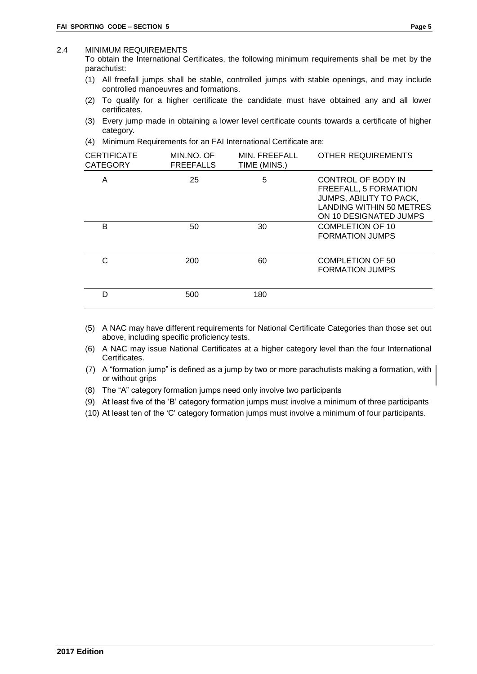#### <span id="page-8-0"></span>2.4 MINIMUM REQUIREMENTS

To obtain the International Certificates, the following minimum requirements shall be met by the parachutist:

- (1) All freefall jumps shall be stable, controlled jumps with stable openings, and may include controlled manoeuvres and formations.
- (2) To qualify for a higher certificate the candidate must have obtained any and all lower certificates.
- (3) Every jump made in obtaining a lower level certificate counts towards a certificate of higher category.
- (4) Minimum Requirements for an FAI International Certificate are:

| <b>CERTIFICATE</b><br><b>CATEGORY</b> | MIN.NO. OF<br><b>FREEFALLS</b> | MIN. FREEFALL<br>TIME (MINS.) | <b>OTHER REQUIREMENTS</b>                                                                                                           |
|---------------------------------------|--------------------------------|-------------------------------|-------------------------------------------------------------------------------------------------------------------------------------|
| A                                     | 25                             | 5                             | CONTROL OF BODY IN<br>FREEFALL, 5 FORMATION<br>JUMPS, ABILITY TO PACK,<br><b>LANDING WITHIN 50 METRES</b><br>ON 10 DESIGNATED JUMPS |
| B                                     | 50                             | 30                            | <b>COMPLETION OF 10</b><br><b>FORMATION JUMPS</b>                                                                                   |
| C                                     | 200                            | 60                            | <b>COMPLETION OF 50</b><br><b>FORMATION JUMPS</b>                                                                                   |
| D                                     | 500                            | 180                           |                                                                                                                                     |

- (5) A NAC may have different requirements for National Certificate Categories than those set out above, including specific proficiency tests.
- (6) A NAC may issue National Certificates at a higher category level than the four International Certificates.
- (7) A "formation jump" is defined as a jump by two or more parachutists making a formation, with or without grips
- (8) The "A" category formation jumps need only involve two participants
- (9) At least five of the 'B' category formation jumps must involve a minimum of three participants
- (10) At least ten of the 'C' category formation jumps must involve a minimum of four participants.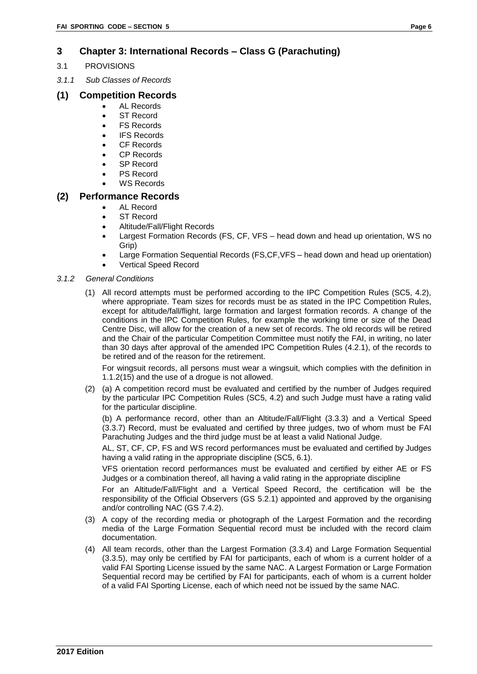## <span id="page-9-0"></span>**3 Chapter 3: International Records – Class G (Parachuting)**

- <span id="page-9-1"></span>3.1 PROVISIONS
- *3.1.1 Sub Classes of Records*

## **(1) Competition Records**

- AL Records
- ST Record
- FS Records
- IFS Records
- CF Records
- CP Records
- SP Record
- PS Record WS Records

## **(2) Performance Records**

- AL Record
- ST Record
- Altitude/Fall/Flight Records
- Largest Formation Records (FS, CF, VFS head down and head up orientation, WS no Grip)
- Large Formation Sequential Records (FS,CF,VFS head down and head up orientation)
- Vertical Speed Record

#### *3.1.2 General Conditions*

(1) All record attempts must be performed according to the IPC Competition Rules (SC5, 4.2), where appropriate. Team sizes for records must be as stated in the IPC Competition Rules, except for altitude/fall/flight, large formation and largest formation records. A change of the conditions in the IPC Competition Rules, for example the working time or size of the Dead Centre Disc, will allow for the creation of a new set of records. The old records will be retired and the Chair of the particular Competition Committee must notify the FAI, in writing, no later than 30 days after approval of the amended IPC Competition Rules (4.2.1), of the records to be retired and of the reason for the retirement.

For wingsuit records, all persons must wear a wingsuit, which complies with the definition in 1.1.2(15) and the use of a drogue is not allowed.

(2) (a) A competition record must be evaluated and certified by the number of Judges required by the particular IPC Competition Rules (SC5, 4.2) and such Judge must have a rating valid for the particular discipline.

(b) A performance record, other than an Altitude/Fall/Flight (3.3.3) and a Vertical Speed (3.3.7) Record, must be evaluated and certified by three judges, two of whom must be FAI Parachuting Judges and the third judge must be at least a valid National Judge.

AL, ST, CF, CP, FS and WS record performances must be evaluated and certified by Judges having a valid rating in the appropriate discipline (SC5, 6.1).

VFS orientation record performances must be evaluated and certified by either AE or FS Judges or a combination thereof, all having a valid rating in the appropriate discipline

For an Altitude/Fall/Flight and a Vertical Speed Record, the certification will be the responsibility of the Official Observers (GS 5.2.1) appointed and approved by the organising and/or controlling NAC (GS 7.4.2).

- (3) A copy of the recording media or photograph of the Largest Formation and the recording media of the Large Formation Sequential record must be included with the record claim documentation.
- (4) All team records, other than the Largest Formation (3.3.4) and Large Formation Sequential (3.3.5), may only be certified by FAI for participants, each of whom is a current holder of a valid FAI Sporting License issued by the same NAC. A Largest Formation or Large Formation Sequential record may be certified by FAI for participants, each of whom is a current holder of a valid FAI Sporting License, each of which need not be issued by the same NAC.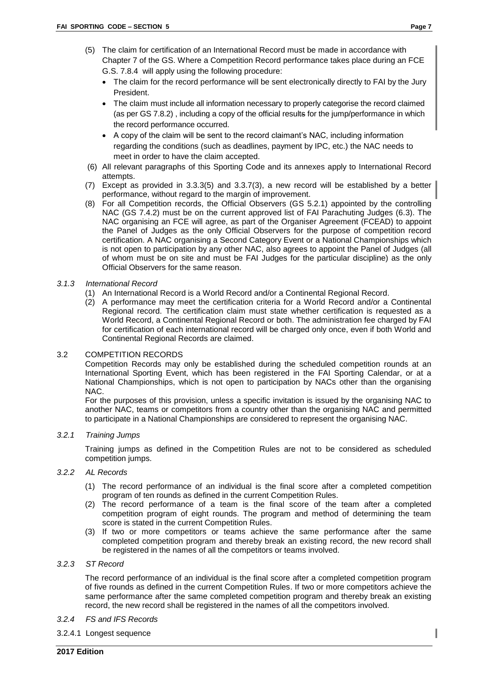- The claim for the record performance will be sent electronically directly to FAI by the Jury President.
- The claim must include all information necessary to properly categorise the record claimed (as per GS 7.8.2) , including a copy of the official results for the jump/performance in which the record performance occurred.
- A copy of the claim will be sent to the record claimant's NAC, including information regarding the conditions (such as deadlines, payment by IPC, etc.) the NAC needs to meet in order to have the claim accepted.
- (6) All relevant paragraphs of this Sporting Code and its annexes apply to International Record attempts.
- (7) Except as provided in 3.3.3(5) and 3.3.7(3), a new record will be established by a better performance, without regard to the margin of improvement.
- (8) For all Competition records, the Official Observers (GS 5.2.1) appointed by the controlling NAC (GS 7.4.2) must be on the current approved list of FAI Parachuting Judges (6.3). The NAC organising an FCE will agree, as part of the Organiser Agreement (FCEAD) to appoint the Panel of Judges as the only Official Observers for the purpose of competition record certification. A NAC organising a Second Category Event or a National Championships which is not open to participation by any other NAC, also agrees to appoint the Panel of Judges (all of whom must be on site and must be FAI Judges for the particular discipline) as the only Official Observers for the same reason.

#### *3.1.3 International Record*

- (1) An International Record is a World Record and/or a Continental Regional Record.
- (2) A performance may meet the certification criteria for a World Record and/or a Continental Regional record. The certification claim must state whether certification is requested as a World Record, a Continental Regional Record or both. The administration fee charged by FAI for certification of each international record will be charged only once, even if both World and Continental Regional Records are claimed.

#### <span id="page-10-0"></span>3.2 COMPETITION RECORDS

Competition Records may only be established during the scheduled competition rounds at an International Sporting Event, which has been registered in the FAI Sporting Calendar, or at a National Championships, which is not open to participation by NACs other than the organising NAC.

For the purposes of this provision, unless a specific invitation is issued by the organising NAC to another NAC, teams or competitors from a country other than the organising NAC and permitted to participate in a National Championships are considered to represent the organising NAC.

#### *3.2.1 Training Jumps*

Training jumps as defined in the Competition Rules are not to be considered as scheduled competition jumps.

#### *3.2.2 AL Records*

- (1) The record performance of an individual is the final score after a completed competition program of ten rounds as defined in the current Competition Rules.
- (2) The record performance of a team is the final score of the team after a completed competition program of eight rounds. The program and method of determining the team score is stated in the current Competition Rules.
- (3) If two or more competitors or teams achieve the same performance after the same completed competition program and thereby break an existing record, the new record shall be registered in the names of all the competitors or teams involved.

#### *3.2.3 ST Record*

The record performance of an individual is the final score after a completed competition program of five rounds as defined in the current Competition Rules. If two or more competitors achieve the same performance after the same completed competition program and thereby break an existing record, the new record shall be registered in the names of all the competitors involved.

- *3.2.4 FS and IFS Records*
- 3.2.4.1 Longest sequence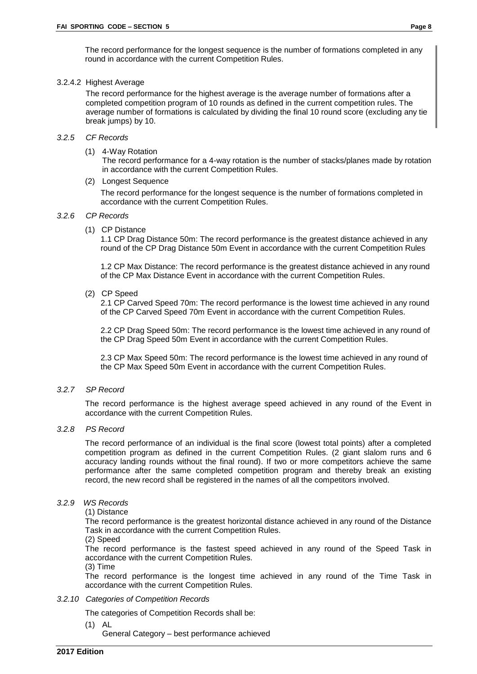The record performance for the longest sequence is the number of formations completed in any round in accordance with the current Competition Rules.

#### 3.2.4.2 Highest Average

The record performance for the highest average is the average number of formations after a completed competition program of 10 rounds as defined in the current competition rules. The average number of formations is calculated by dividing the final 10 round score (excluding any tie break jumps) by 10.

#### *3.2.5 CF Records*

(1) 4-Way Rotation

The record performance for a 4-way rotation is the number of stacks/planes made by rotation in accordance with the current Competition Rules.

(2) Longest Sequence

 The record performance for the longest sequence is the number of formations completed in accordance with the current Competition Rules.

#### *3.2.6 CP Records*

(1) CP Distance

1.1 CP Drag Distance 50m: The record performance is the greatest distance achieved in any round of the CP Drag Distance 50m Event in accordance with the current Competition Rules

1.2 CP Max Distance: The record performance is the greatest distance achieved in any round of the CP Max Distance Event in accordance with the current Competition Rules.

(2) CP Speed

2.1 CP Carved Speed 70m: The record performance is the lowest time achieved in any round of the CP Carved Speed 70m Event in accordance with the current Competition Rules.

2.2 CP Drag Speed 50m: The record performance is the lowest time achieved in any round of the CP Drag Speed 50m Event in accordance with the current Competition Rules.

2.3 CP Max Speed 50m: The record performance is the lowest time achieved in any round of the CP Max Speed 50m Event in accordance with the current Competition Rules.

#### *3.2.7 SP Record*

The record performance is the highest average speed achieved in any round of the Event in accordance with the current Competition Rules.

*3.2.8 PS Record*

The record performance of an individual is the final score (lowest total points) after a completed competition program as defined in the current Competition Rules. (2 giant slalom runs and 6 accuracy landing rounds without the final round). If two or more competitors achieve the same performance after the same completed competition program and thereby break an existing record, the new record shall be registered in the names of all the competitors involved.

#### *3.2.9 WS Records*

(1) Distance

The record performance is the greatest horizontal distance achieved in any round of the Distance Task in accordance with the current Competition Rules.

(2) Speed

The record performance is the fastest speed achieved in any round of the Speed Task in accordance with the current Competition Rules.

(3) Time

The record performance is the longest time achieved in any round of the Time Task in accordance with the current Competition Rules.

#### *3.2.10 Categories of Competition Records*

The categories of Competition Records shall be:

(1) AL

General Category – best performance achieved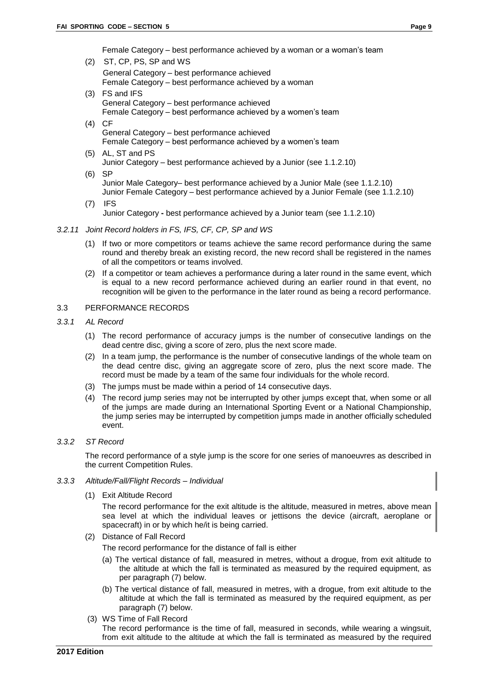Female Category – best performance achieved by a woman or a woman's team

- (2) ST, CP, PS, SP and WS General Category – best performance achieved Female Category – best performance achieved by a woman
- (3) FS and IFS General Category – best performance achieved Female Category – best performance achieved by a women's team
- (4) CF General Category – best performance achieved Female Category – best performance achieved by a women's team
- (5) AL, ST and PS Junior Category – best performance achieved by a Junior (see 1.1.2.10)
- (6) SP

Junior Male Category– best performance achieved by a Junior Male (see 1.1.2.10) Junior Female Category – best performance achieved by a Junior Female (see 1.1.2.10)

(7) IFS Junior Category **-** best performance achieved by a Junior team (see 1.1.2.10)

#### *3.2.11 Joint Record holders in FS, IFS, CF, CP, SP and WS*

- (1) If two or more competitors or teams achieve the same record performance during the same round and thereby break an existing record, the new record shall be registered in the names of all the competitors or teams involved.
- (2) If a competitor or team achieves a performance during a later round in the same event, which is equal to a new record performance achieved during an earlier round in that event, no recognition will be given to the performance in the later round as being a record performance.

#### <span id="page-12-0"></span>3.3 PERFORMANCE RECORDS

- *3.3.1 AL Record*
	- (1) The record performance of accuracy jumps is the number of consecutive landings on the dead centre disc, giving a score of zero, plus the next score made.
	- (2) In a team jump, the performance is the number of consecutive landings of the whole team on the dead centre disc, giving an aggregate score of zero, plus the next score made. The record must be made by a team of the same four individuals for the whole record.
	- (3) The jumps must be made within a period of 14 consecutive days.
	- (4) The record jump series may not be interrupted by other jumps except that, when some or all of the jumps are made during an International Sporting Event or a National Championship, the jump series may be interrupted by competition jumps made in another officially scheduled event.

#### *3.3.2 ST Record*

The record performance of a style jump is the score for one series of manoeuvres as described in the current Competition Rules.

#### *3.3.3 Altitude/Fall/Flight Records – Individual*

(1) Exit Altitude Record

The record performance for the exit altitude is the altitude, measured in metres, above mean sea level at which the individual leaves or jettisons the device (aircraft, aeroplane or spacecraft) in or by which he/it is being carried.

(2) Distance of Fall Record

The record performance for the distance of fall is either

- (a) The vertical distance of fall, measured in metres, without a drogue, from exit altitude to the altitude at which the fall is terminated as measured by the required equipment, as per paragraph (7) below.
- (b) The vertical distance of fall, measured in metres, with a drogue, from exit altitude to the altitude at which the fall is terminated as measured by the required equipment, as per paragraph (7) below.
- (3) WS Time of Fall Record

The record performance is the time of fall, measured in seconds, while wearing a wingsuit, from exit altitude to the altitude at which the fall is terminated as measured by the required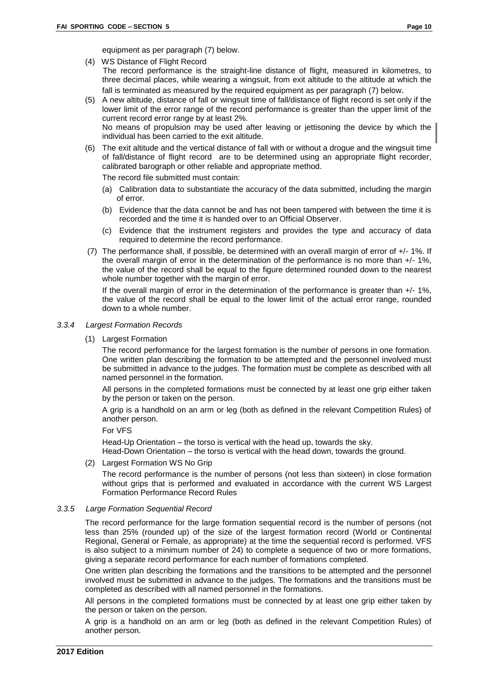- (4) WS Distance of Flight Record The record performance is the straight-line distance of flight, measured in kilometres, to three decimal places, while wearing a wingsuit, from exit altitude to the altitude at which the fall is terminated as measured by the required equipment as per paragraph (7) below.
- (5) A new altitude, distance of fall or wingsuit time of fall/distance of flight record is set only if the lower limit of the error range of the record performance is greater than the upper limit of the current record error range by at least 2%. No means of propulsion may be used after leaving or jettisoning the device by which the individual has been carried to the exit altitude.
- (6) The exit altitude and the vertical distance of fall with or without a drogue and the wingsuit time of fall/distance of flight record are to be determined using an appropriate flight recorder, calibrated barograph or other reliable and appropriate method.

The record file submitted must contain:

- (a) Calibration data to substantiate the accuracy of the data submitted, including the margin of error.
- (b) Evidence that the data cannot be and has not been tampered with between the time it is recorded and the time it is handed over to an Official Observer.
- (c) Evidence that the instrument registers and provides the type and accuracy of data required to determine the record performance.
- (7) The performance shall, if possible, be determined with an overall margin of error of +/- 1%. If the overall margin of error in the determination of the performance is no more than +/- 1%, the value of the record shall be equal to the figure determined rounded down to the nearest whole number together with the margin of error.

If the overall margin of error in the determination of the performance is greater than +/- 1%, the value of the record shall be equal to the lower limit of the actual error range, rounded down to a whole number.

#### *3.3.4 Largest Formation Records*

(1) Largest Formation

The record performance for the largest formation is the number of persons in one formation. One written plan describing the formation to be attempted and the personnel involved must be submitted in advance to the judges. The formation must be complete as described with all named personnel in the formation.

All persons in the completed formations must be connected by at least one grip either taken by the person or taken on the person.

A grip is a handhold on an arm or leg (both as defined in the relevant Competition Rules) of another person.

For VFS

Head-Up Orientation – the torso is vertical with the head up, towards the sky. Head-Down Orientation – the torso is vertical with the head down, towards the ground.

(2) Largest Formation WS No Grip

The record performance is the number of persons (not less than sixteen) in close formation without grips that is performed and evaluated in accordance with the current WS Largest Formation Performance Record Rules

#### *3.3.5 Large Formation Sequential Record*

The record performance for the large formation sequential record is the number of persons (not less than 25% (rounded up) of the size of the largest formation record (World or Continental Regional, General or Female, as appropriate) at the time the sequential record is performed. VFS is also subject to a minimum number of 24) to complete a sequence of two or more formations, giving a separate record performance for each number of formations completed.

One written plan describing the formations and the transitions to be attempted and the personnel involved must be submitted in advance to the judges. The formations and the transitions must be completed as described with all named personnel in the formations.

All persons in the completed formations must be connected by at least one grip either taken by the person or taken on the person.

A grip is a handhold on an arm or leg (both as defined in the relevant Competition Rules) of another person.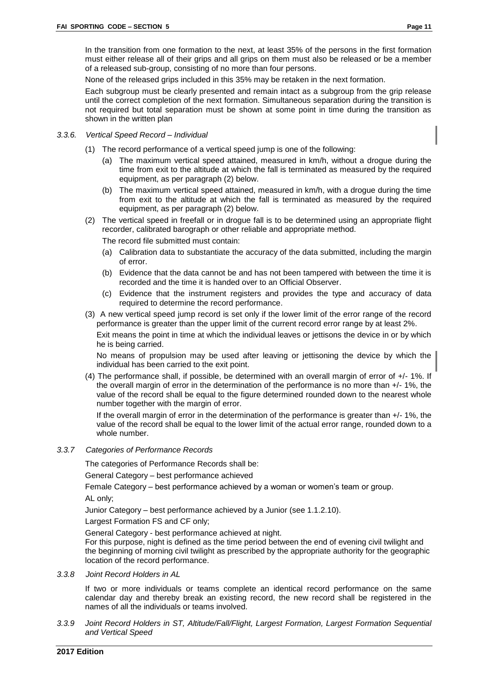None of the released grips included in this 35% may be retaken in the next formation.

Each subgroup must be clearly presented and remain intact as a subgroup from the grip release until the correct completion of the next formation. Simultaneous separation during the transition is not required but total separation must be shown at some point in time during the transition as shown in the written plan

- *3.3.6. Vertical Speed Record – Individual*
	- (1) The record performance of a vertical speed jump is one of the following:
		- (a) The maximum vertical speed attained, measured in km/h, without a drogue during the time from exit to the altitude at which the fall is terminated as measured by the required equipment, as per paragraph (2) below.
		- (b) The maximum vertical speed attained, measured in km/h, with a drogue during the time from exit to the altitude at which the fall is terminated as measured by the required equipment, as per paragraph (2) below.
	- (2) The vertical speed in freefall or in drogue fall is to be determined using an appropriate flight recorder, calibrated barograph or other reliable and appropriate method.

The record file submitted must contain:

- (a) Calibration data to substantiate the accuracy of the data submitted, including the margin of error.
- (b) Evidence that the data cannot be and has not been tampered with between the time it is recorded and the time it is handed over to an Official Observer.
- (c) Evidence that the instrument registers and provides the type and accuracy of data required to determine the record performance.
- (3) A new vertical speed jump record is set only if the lower limit of the error range of the record performance is greater than the upper limit of the current record error range by at least 2%.

Exit means the point in time at which the individual leaves or jettisons the device in or by which he is being carried.

No means of propulsion may be used after leaving or jettisoning the device by which the individual has been carried to the exit point.

(4) The performance shall, if possible, be determined with an overall margin of error of +/- 1%. If the overall margin of error in the determination of the performance is no more than +/- 1%, the value of the record shall be equal to the figure determined rounded down to the nearest whole number together with the margin of error.

If the overall margin of error in the determination of the performance is greater than +/- 1%, the value of the record shall be equal to the lower limit of the actual error range, rounded down to a whole number.

#### *3.3.7 Categories of Performance Records*

The categories of Performance Records shall be:

General Category – best performance achieved

Female Category – best performance achieved by a woman or women's team or group.

AL only;

Junior Category – best performance achieved by a Junior (see 1.1.2.10).

Largest Formation FS and CF only;

General Category - best performance achieved at night.

For this purpose, night is defined as the time period between the end of evening civil twilight and the beginning of morning civil twilight as prescribed by the appropriate authority for the geographic location of the record performance.

*3.3.8 Joint Record Holders in AL*

If two or more individuals or teams complete an identical record performance on the same calendar day and thereby break an existing record, the new record shall be registered in the names of all the individuals or teams involved.

*3.3.9 Joint Record Holders in ST, Altitude/Fall/Flight, Largest Formation, Largest Formation Sequential and Vertical Speed*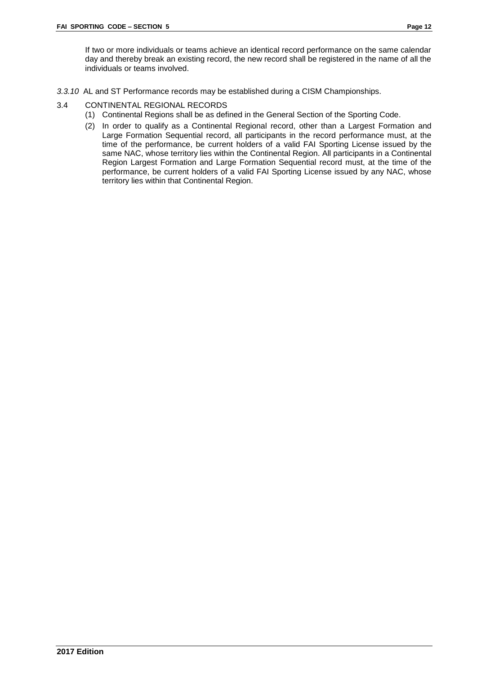If two or more individuals or teams achieve an identical record performance on the same calendar day and thereby break an existing record, the new record shall be registered in the name of all the individuals or teams involved.

- *3.3.10* AL and ST Performance records may be established during a CISM Championships.
- <span id="page-15-0"></span>3.4 CONTINENTAL REGIONAL RECORDS
	- (1) Continental Regions shall be as defined in the General Section of the Sporting Code.
	- (2) In order to qualify as a Continental Regional record, other than a Largest Formation and Large Formation Sequential record, all participants in the record performance must, at the time of the performance, be current holders of a valid FAI Sporting License issued by the same NAC, whose territory lies within the Continental Region. All participants in a Continental Region Largest Formation and Large Formation Sequential record must, at the time of the performance, be current holders of a valid FAI Sporting License issued by any NAC, whose territory lies within that Continental Region.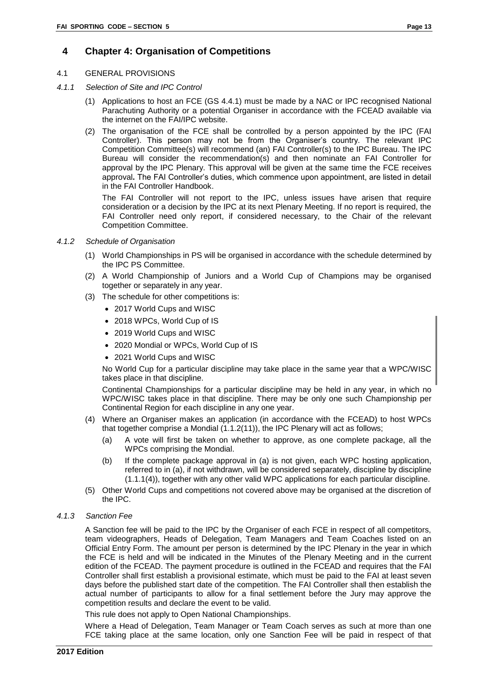## <span id="page-16-0"></span>**4 Chapter 4: Organisation of Competitions**

#### <span id="page-16-1"></span>4.1 GENERAL PROVISIONS

- *4.1.1 Selection of Site and IPC Control* 
	- (1) Applications to host an FCE (GS 4.4.1) must be made by a NAC or IPC recognised National Parachuting Authority or a potential Organiser in accordance with the FCEAD available via the internet on the FAI/IPC website.
	- (2) The organisation of the FCE shall be controlled by a person appointed by the IPC (FAI Controller). This person may not be from the Organiser's country. The relevant IPC Competition Committee(s) will recommend (an) FAI Controller(s) to the IPC Bureau. The IPC Bureau will consider the recommendation(s) and then nominate an FAI Controller for approval by the IPC Plenary. This approval will be given at the same time the FCE receives approval**.** The FAI Controller's duties, which commence upon appointment, are listed in detail in the FAI Controller Handbook.

The FAI Controller will not report to the IPC, unless issues have arisen that require consideration or a decision by the IPC at its next Plenary Meeting. If no report is required, the FAI Controller need only report, if considered necessary, to the Chair of the relevant Competition Committee.

#### *4.1.2 Schedule of Organisation*

- (1) World Championships in PS will be organised in accordance with the schedule determined by the IPC PS Committee.
- (2) A World Championship of Juniors and a World Cup of Champions may be organised together or separately in any year.
- (3) The schedule for other competitions is:
	- 2017 World Cups and WISC
	- 2018 WPCs, World Cup of IS
	- 2019 World Cups and WISC
	- 2020 Mondial or WPCs, World Cup of IS
	- 2021 World Cups and WISC

No World Cup for a particular discipline may take place in the same year that a WPC/WISC takes place in that discipline.

Continental Championships for a particular discipline may be held in any year, in which no WPC/WISC takes place in that discipline. There may be only one such Championship per Continental Region for each discipline in any one year.

- (4) Where an Organiser makes an application (in accordance with the FCEAD) to host WPCs that together comprise a Mondial (1.1.2(11)), the IPC Plenary will act as follows;
	- (a) A vote will first be taken on whether to approve, as one complete package, all the WPCs comprising the Mondial.
	- (b) If the complete package approval in (a) is not given, each WPC hosting application, referred to in (a), if not withdrawn, will be considered separately, discipline by discipline (1.1.1(4)), together with any other valid WPC applications for each particular discipline.
- (5) Other World Cups and competitions not covered above may be organised at the discretion of the IPC.
- *4.1.3 Sanction Fee*

A Sanction fee will be paid to the IPC by the Organiser of each FCE in respect of all competitors, team videographers, Heads of Delegation, Team Managers and Team Coaches listed on an Official Entry Form. The amount per person is determined by the IPC Plenary in the year in which the FCE is held and will be indicated in the Minutes of the Plenary Meeting and in the current edition of the FCEAD. The payment procedure is outlined in the FCEAD and requires that the FAI Controller shall first establish a provisional estimate, which must be paid to the FAI at least seven days before the published start date of the competition. The FAI Controller shall then establish the actual number of participants to allow for a final settlement before the Jury may approve the competition results and declare the event to be valid.

This rule does not apply to Open National Championships.

Where a Head of Delegation, Team Manager or Team Coach serves as such at more than one FCE taking place at the same location, only one Sanction Fee will be paid in respect of that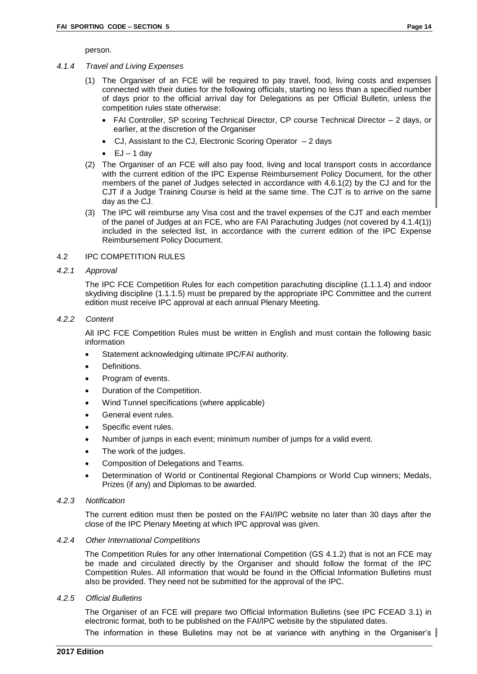person.

#### *4.1.4 Travel and Living Expenses*

- (1) The Organiser of an FCE will be required to pay travel, food, living costs and expenses connected with their duties for the following officials, starting no less than a specified number of days prior to the official arrival day for Delegations as per Official Bulletin, unless the competition rules state otherwise:
	- FAI Controller, SP scoring Technical Director, CP course Technical Director 2 days, or earlier, at the discretion of the Organiser
	- CJ, Assistant to the CJ, Electronic Scoring Operator 2 days
	- $\bullet$  EJ 1 day
- (2) The Organiser of an FCE will also pay food, living and local transport costs in accordance with the current edition of the IPC Expense Reimbursement Policy Document, for the other members of the panel of Judges selected in accordance with 4.6.1(2) by the CJ and for the CJT if a Judge Training Course is held at the same time. The CJT is to arrive on the same day as the CJ.
- (3) The IPC will reimburse any Visa cost and the travel expenses of the CJT and each member of the panel of Judges at an FCE, who are FAI Parachuting Judges (not covered by 4.1.4(1)) included in the selected list, in accordance with the current edition of the IPC Expense Reimbursement Policy Document.

#### <span id="page-17-0"></span>4.2 IPC COMPETITION RULES

*4.2.1 Approval*

The IPC FCE Competition Rules for each competition parachuting discipline (1.1.1.4) and indoor skydiving discipline (1.1.1.5) must be prepared by the appropriate IPC Committee and the current edition must receive IPC approval at each annual Plenary Meeting.

#### *4.2.2 Content*

All IPC FCE Competition Rules must be written in English and must contain the following basic information

- Statement acknowledging ultimate IPC/FAI authority.
- Definitions.
- Program of events.
- Duration of the Competition.
- Wind Tunnel specifications (where applicable)
- General event rules.
- Specific event rules.
- Number of jumps in each event; minimum number of jumps for a valid event.
- The work of the judges.
- Composition of Delegations and Teams.
- Determination of World or Continental Regional Champions or World Cup winners; Medals, Prizes (if any) and Diplomas to be awarded.

#### *4.2.3 Notification*

The current edition must then be posted on the FAI/IPC website no later than 30 days after the close of the IPC Plenary Meeting at which IPC approval was given.

#### *4.2.4 Other International Competitions*

The Competition Rules for any other International Competition (GS 4.1.2) that is not an FCE may be made and circulated directly by the Organiser and should follow the format of the IPC Competition Rules. All information that would be found in the Official Information Bulletins must also be provided. They need not be submitted for the approval of the IPC.

#### *4.2.5 Official Bulletins*

The Organiser of an FCE will prepare two Official Information Bulletins (see IPC FCEAD 3.1) in electronic format, both to be published on the FAI/IPC website by the stipulated dates.

The information in these Bulletins may not be at variance with anything in the Organiser's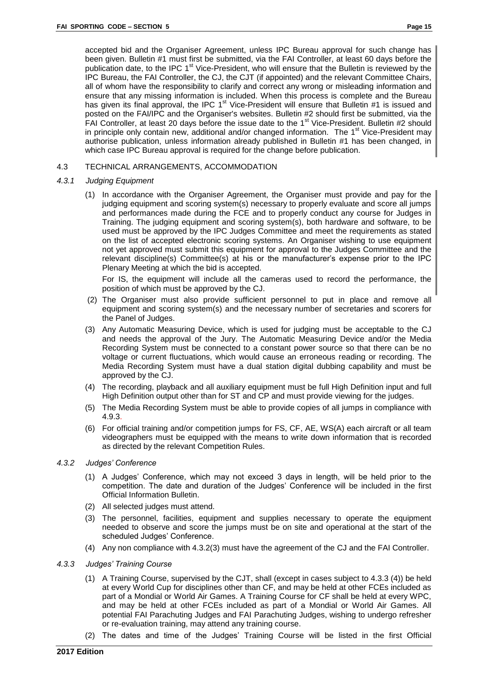accepted bid and the Organiser Agreement, unless IPC Bureau approval for such change has been given. Bulletin #1 must first be submitted, via the FAI Controller, at least 60 days before the publication date, to the IPC 1<sup>st</sup> Vice-President, who will ensure that the Bulletin is reviewed by the IPC Bureau, the FAI Controller, the CJ, the CJT (if appointed) and the relevant Committee Chairs, all of whom have the responsibility to clarify and correct any wrong or misleading information and ensure that any missing information is included. When this process is complete and the Bureau has given its final approval, the IPC  $1<sup>st</sup>$  Vice-President will ensure that Bulletin #1 is issued and posted on the FAI/IPC and the Organiser's websites. Bulletin #2 should first be submitted, via the FAI Controller, at least 20 days before the issue date to the  $1<sup>st</sup>$  Vice-President. Bulletin #2 should in principle only contain new, additional and/or changed information. The  $1<sup>st</sup>$  Vice-President may authorise publication, unless information already published in Bulletin #1 has been changed, in which case IPC Bureau approval is required for the change before publication.

#### <span id="page-18-0"></span>4.3 TECHNICAL ARRANGEMENTS, ACCOMMODATION

#### *4.3.1 Judging Equipment*

(1) In accordance with the Organiser Agreement, the Organiser must provide and pay for the judging equipment and scoring system(s) necessary to properly evaluate and score all jumps and performances made during the FCE and to properly conduct any course for Judges in Training. The judging equipment and scoring system(s), both hardware and software, to be used must be approved by the IPC Judges Committee and meet the requirements as stated on the list of accepted electronic scoring systems. An Organiser wishing to use equipment not yet approved must submit this equipment for approval to the Judges Committee and the relevant discipline(s) Committee(s) at his or the manufacturer's expense prior to the IPC Plenary Meeting at which the bid is accepted.

For IS, the equipment will include all the cameras used to record the performance, the position of which must be approved by the CJ.

- (2) The Organiser must also provide sufficient personnel to put in place and remove all equipment and scoring system(s) and the necessary number of secretaries and scorers for the Panel of Judges.
- (3) Any Automatic Measuring Device, which is used for judging must be acceptable to the CJ and needs the approval of the Jury. The Automatic Measuring Device and/or the Media Recording System must be connected to a constant power source so that there can be no voltage or current fluctuations, which would cause an erroneous reading or recording. The Media Recording System must have a dual station digital dubbing capability and must be approved by the CJ.
- (4) The recording, playback and all auxiliary equipment must be full High Definition input and full High Definition output other than for ST and CP and must provide viewing for the judges.
- (5) The Media Recording System must be able to provide copies of all jumps in compliance with 4.9.3.
- (6) For official training and/or competition jumps for FS, CF, AE, WS(A) each aircraft or all team videographers must be equipped with the means to write down information that is recorded as directed by the relevant Competition Rules.

#### *4.3.2 Judges' Conference*

- (1) A Judges' Conference, which may not exceed 3 days in length, will be held prior to the competition. The date and duration of the Judges' Conference will be included in the first Official Information Bulletin.
- (2) All selected judges must attend.
- (3) The personnel, facilities, equipment and supplies necessary to operate the equipment needed to observe and score the jumps must be on site and operational at the start of the scheduled Judges' Conference.
- (4) Any non compliance with 4.3.2(3) must have the agreement of the CJ and the FAI Controller.

#### *4.3.3 Judges' Training Course*

- (1) A Training Course, supervised by the CJT, shall (except in cases subject to 4.3.3 (4)) be held at every World Cup for disciplines other than CF, and may be held at other FCEs included as part of a Mondial or World Air Games. A Training Course for CF shall be held at every WPC, and may be held at other FCEs included as part of a Mondial or World Air Games. All potential FAI Parachuting Judges and FAI Parachuting Judges, wishing to undergo refresher or re-evaluation training, may attend any training course.
- (2) The dates and time of the Judges' Training Course will be listed in the first Official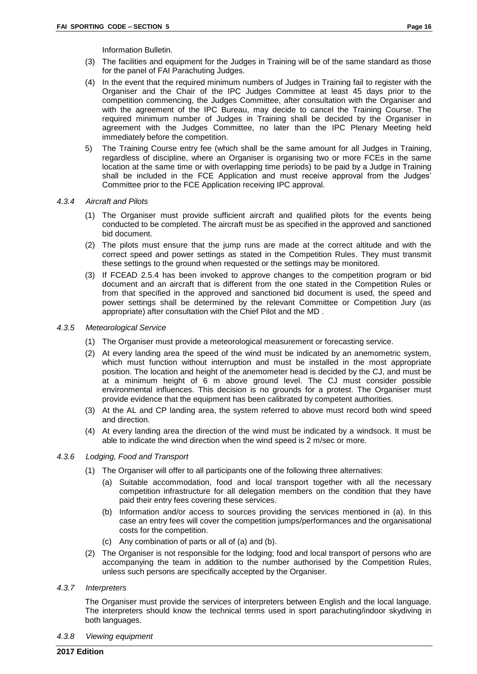Information Bulletin.

- (3) The facilities and equipment for the Judges in Training will be of the same standard as those for the panel of FAI Parachuting Judges.
- (4) In the event that the required minimum numbers of Judges in Training fail to register with the Organiser and the Chair of the IPC Judges Committee at least 45 days prior to the competition commencing, the Judges Committee, after consultation with the Organiser and with the agreement of the IPC Bureau, may decide to cancel the Training Course. The required minimum number of Judges in Training shall be decided by the Organiser in agreement with the Judges Committee, no later than the IPC Plenary Meeting held immediately before the competition.
- 5) The Training Course entry fee (which shall be the same amount for all Judges in Training, regardless of discipline, where an Organiser is organising two or more FCEs in the same location at the same time or with overlapping time periods) to be paid by a Judge in Training shall be included in the FCE Application and must receive approval from the Judges' Committee prior to the FCE Application receiving IPC approval.

#### *4.3.4 Aircraft and Pilots*

- (1) The Organiser must provide sufficient aircraft and qualified pilots for the events being conducted to be completed. The aircraft must be as specified in the approved and sanctioned bid document.
- (2) The pilots must ensure that the jump runs are made at the correct altitude and with the correct speed and power settings as stated in the Competition Rules. They must transmit these settings to the ground when requested or the settings may be monitored.
- (3) If FCEAD 2.5.4 has been invoked to approve changes to the competition program or bid document and an aircraft that is different from the one stated in the Competition Rules or from that specified in the approved and sanctioned bid document is used, the speed and power settings shall be determined by the relevant Committee or Competition Jury (as appropriate) after consultation with the Chief Pilot and the MD .

#### *4.3.5 Meteorological Service*

- (1) The Organiser must provide a meteorological measurement or forecasting service.
- (2) At every landing area the speed of the wind must be indicated by an anemometric system, which must function without interruption and must be installed in the most appropriate position. The location and height of the anemometer head is decided by the CJ, and must be at a minimum height of 6 m above ground level. The CJ must consider possible environmental influences. This decision is no grounds for a protest. The Organiser must provide evidence that the equipment has been calibrated by competent authorities.
- (3) At the AL and CP landing area, the system referred to above must record both wind speed and direction.
- (4) At every landing area the direction of the wind must be indicated by a windsock. It must be able to indicate the wind direction when the wind speed is 2 m/sec or more.

#### *4.3.6 Lodging, Food and Transport*

- (1) The Organiser will offer to all participants one of the following three alternatives:
	- (a) Suitable accommodation, food and local transport together with all the necessary competition infrastructure for all delegation members on the condition that they have paid their entry fees covering these services.
	- (b) Information and/or access to sources providing the services mentioned in (a). In this case an entry fees will cover the competition jumps/performances and the organisational costs for the competition.
	- (c) Any combination of parts or all of (a) and (b).
- (2) The Organiser is not responsible for the lodging; food and local transport of persons who are accompanying the team in addition to the number authorised by the Competition Rules, unless such persons are specifically accepted by the Organiser.

#### *4.3.7 Interpreters*

The Organiser must provide the services of interpreters between English and the local language. The interpreters should know the technical terms used in sport parachuting/indoor skydiving in both languages.

*4.3.8 Viewing equipment*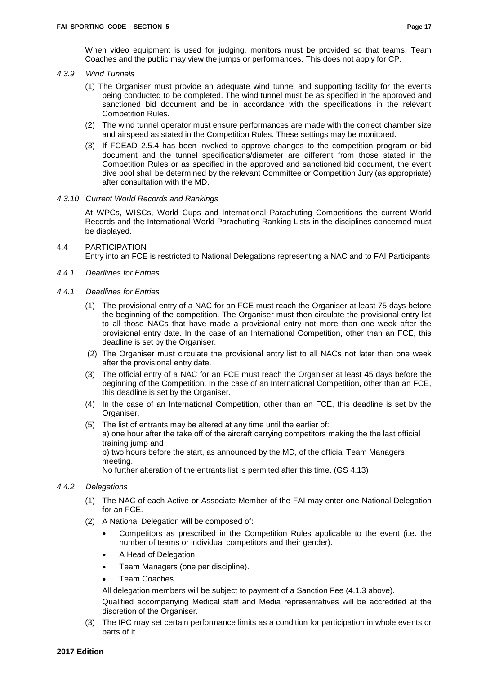#### *4.3.9 Wind Tunnels*

- (1) The Organiser must provide an adequate wind tunnel and supporting facility for the events being conducted to be completed. The wind tunnel must be as specified in the approved and sanctioned bid document and be in accordance with the specifications in the relevant Competition Rules.
- (2) The wind tunnel operator must ensure performances are made with the correct chamber size and airspeed as stated in the Competition Rules. These settings may be monitored.
- (3) If FCEAD 2.5.4 has been invoked to approve changes to the competition program or bid document and the tunnel specifications/diameter are different from those stated in the Competition Rules or as specified in the approved and sanctioned bid document, the event dive pool shall be determined by the relevant Committee or Competition Jury (as appropriate) after consultation with the MD.

#### *4.3.10 Current World Records and Rankings*

At WPCs, WISCs, World Cups and International Parachuting Competitions the current World Records and the International World Parachuting Ranking Lists in the disciplines concerned must be displayed.

#### <span id="page-20-0"></span>4.4 PARTICIPATION Entry into an FCE is restricted to National Delegations representing a NAC and to FAI Participants

- *4.4.1 Deadlines for Entries*
- *4.4.1 Deadlines for Entries*
	- (1) The provisional entry of a NAC for an FCE must reach the Organiser at least 75 days before the beginning of the competition. The Organiser must then circulate the provisional entry list to all those NACs that have made a provisional entry not more than one week after the provisional entry date. In the case of an International Competition, other than an FCE, this deadline is set by the Organiser.
	- (2) The Organiser must circulate the provisional entry list to all NACs not later than one week after the provisional entry date.
	- (3) The official entry of a NAC for an FCE must reach the Organiser at least 45 days before the beginning of the Competition. In the case of an International Competition, other than an FCE, this deadline is set by the Organiser.
	- (4) In the case of an International Competition, other than an FCE, this deadline is set by the Organiser.
	- (5) The list of entrants may be altered at any time until the earlier of: a) one hour after the take off of the aircraft carrying competitors making the the last official training jump and b) two hours before the start, as announced by the MD, of the official Team Managers meeting. No further alteration of the entrants list is permited after this time. (GS 4.13)

#### *4.4.2 Delegations*

- (1) The NAC of each Active or Associate Member of the FAI may enter one National Delegation for an FCE.
- (2) A National Delegation will be composed of:
	- Competitors as prescribed in the Competition Rules applicable to the event (i.e. the number of teams or individual competitors and their gender).
	- A Head of Delegation.
	- Team Managers (one per discipline).
	- Team Coaches.

All delegation members will be subject to payment of a Sanction Fee (4.1.3 above).

Qualified accompanying Medical staff and Media representatives will be accredited at the discretion of the Organiser.

(3) The IPC may set certain performance limits as a condition for participation in whole events or parts of it.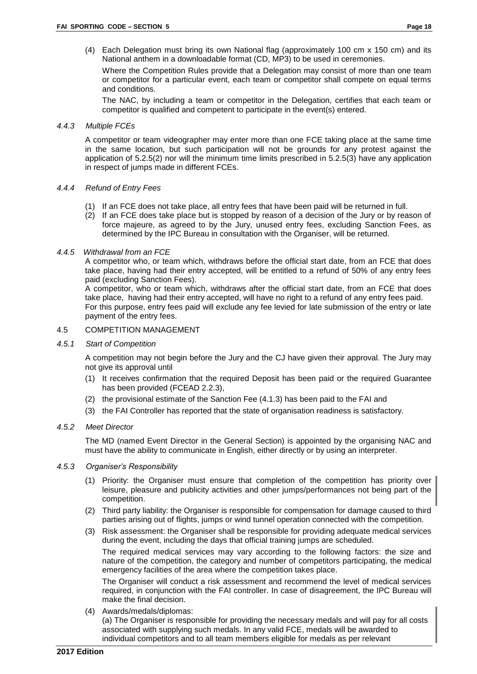(4) Each Delegation must bring its own National flag (approximately 100 cm x 150 cm) and its National anthem in a downloadable format (CD, MP3) to be used in ceremonies.

Where the Competition Rules provide that a Delegation may consist of more than one team or competitor for a particular event, each team or competitor shall compete on equal terms and conditions.

The NAC, by including a team or competitor in the Delegation, certifies that each team or competitor is qualified and competent to participate in the event(s) entered.

#### *4.4.3 Multiple FCEs*

A competitor or team videographer may enter more than one FCE taking place at the same time in the same location, but such participation will not be grounds for any protest against the application of 5.2.5(2) nor will the minimum time limits prescribed in 5.2.5(3) have any application in respect of jumps made in different FCEs.

#### *4.4.4 Refund of Entry Fees*

- (1) If an FCE does not take place, all entry fees that have been paid will be returned in full.
- (2) If an FCE does take place but is stopped by reason of a decision of the Jury or by reason of force majeure, as agreed to by the Jury, unused entry fees, excluding Sanction Fees, as determined by the IPC Bureau in consultation with the Organiser, will be returned.

#### *4.4.5 Withdrawal from an FCE*

A competitor who, or team which, withdraws before the official start date, from an FCE that does take place, having had their entry accepted, will be entitled to a refund of 50% of any entry fees paid (excluding Sanction Fees).

A competitor, who or team which, withdraws after the official start date, from an FCE that does take place, having had their entry accepted, will have no right to a refund of any entry fees paid. For this purpose, entry fees paid will exclude any fee levied for late submission of the entry or late payment of the entry fees.

#### <span id="page-21-0"></span>4.5 COMPETITION MANAGEMENT

#### *4.5.1 Start of Competition*

A competition may not begin before the Jury and the CJ have given their approval. The Jury may not give its approval until

- (1) It receives confirmation that the required Deposit has been paid or the required Guarantee has been provided (FCEAD 2.2.3),
- (2) the provisional estimate of the Sanction Fee (4.1.3) has been paid to the FAI and
- (3) the FAI Controller has reported that the state of organisation readiness is satisfactory.

#### *4.5.2 Meet Director*

The MD (named Event Director in the General Section) is appointed by the organising NAC and must have the ability to communicate in English, either directly or by using an interpreter.

#### *4.5.3 Organiser's Responsibility*

- (1) Priority: the Organiser must ensure that completion of the competition has priority over leisure, pleasure and publicity activities and other jumps/performances not being part of the competition.
- (2) Third party liability: the Organiser is responsible for compensation for damage caused to third parties arising out of flights, jumps or wind tunnel operation connected with the competition.
- (3) Risk assessment: the Organiser shall be responsible for providing adequate medical services during the event, including the days that official training jumps are scheduled.

The required medical services may vary according to the following factors: the size and nature of the competition, the category and number of competitors participating, the medical emergency facilities of the area where the competition takes place.

The Organiser will conduct a risk assessment and recommend the level of medical services required, in conjunction with the FAI controller. In case of disagreement, the IPC Bureau will make the final decision.

(4) Awards/medals/diplomas:

(a) The Organiser is responsible for providing the necessary medals and will pay for all costs associated with supplying such medals. In any valid FCE, medals will be awarded to individual competitors and to all team members eligible for medals as per relevant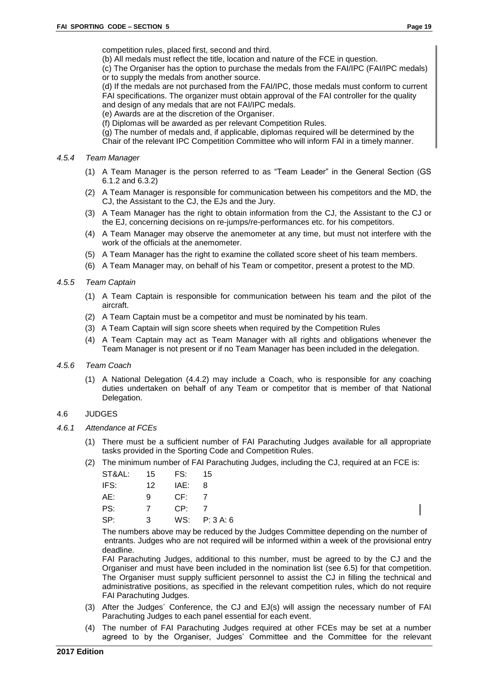competition rules, placed first, second and third.

(b) All medals must reflect the title, location and nature of the FCE in question.

(c) The Organiser has the option to purchase the medals from the FAI/IPC (FAI/IPC medals) or to supply the medals from another source.

(d) If the medals are not purchased from the FAI/IPC, those medals must conform to current FAI specifications. The organizer must obtain approval of the FAI controller for the quality and design of any medals that are not FAI/IPC medals.

(e) Awards are at the discretion of the Organiser.

(f) Diplomas will be awarded as per relevant Competition Rules.

(g) The number of medals and, if applicable, diplomas required will be determined by the

Chair of the relevant IPC Competition Committee who will inform FAI in a timely manner.

#### *4.5.4 Team Manager*

- (1) A Team Manager is the person referred to as "Team Leader" in the General Section (GS 6.1.2 and 6.3.2)
- (2) A Team Manager is responsible for communication between his competitors and the MD, the CJ, the Assistant to the CJ, the EJs and the Jury.
- (3) A Team Manager has the right to obtain information from the CJ, the Assistant to the CJ or the EJ, concerning decisions on re-jumps/re-performances etc. for his competitors.
- (4) A Team Manager may observe the anemometer at any time, but must not interfere with the work of the officials at the anemometer.
- (5) A Team Manager has the right to examine the collated score sheet of his team members.
- (6) A Team Manager may, on behalf of his Team or competitor, present a protest to the MD.

#### *4.5.5 Team Captain*

- (1) A Team Captain is responsible for communication between his team and the pilot of the aircraft.
- (2) A Team Captain must be a competitor and must be nominated by his team.
- (3) A Team Captain will sign score sheets when required by the Competition Rules
- (4) A Team Captain may act as Team Manager with all rights and obligations whenever the Team Manager is not present or if no Team Manager has been included in the delegation.

#### *4.5.6 Team Coach*

(1) A National Delegation (4.4.2) may include a Coach, who is responsible for any coaching duties undertaken on behalf of any Team or competitor that is member of that National Delegation.

#### <span id="page-22-0"></span>4.6 JUDGES

- *4.6.1 Attendance at FCEs*
	- (1) There must be a sufficient number of FAI Parachuting Judges available for all appropriate tasks provided in the Sporting Code and Competition Rules.
	- (2) The minimum number of FAI Parachuting Judges, including the CJ, required at an FCE is:

| ST&AL: | 15             | FS:  | 15        |
|--------|----------------|------|-----------|
| IFS:   | 12             | IAE: | 8         |
| AE:    | 9              | CF:  |           |
| PS:    | $\overline{7}$ | CP:  | 7         |
| SP:    | 3              | WS:  | P: 3 A: 6 |

The numbers above may be reduced by the Judges Committee depending on the number of entrants. Judges who are not required will be informed within a week of the provisional entry deadline.

FAI Parachuting Judges, additional to this number, must be agreed to by the CJ and the Organiser and must have been included in the nomination list (see 6.5) for that competition. The Organiser must supply sufficient personnel to assist the CJ in filling the technical and administrative positions, as specified in the relevant competition rules, which do not require FAI Parachuting Judges.

- (3) After the Judges´ Conference, the CJ and EJ(s) will assign the necessary number of FAI Parachuting Judges to each panel essential for each event.
- (4) The number of FAI Parachuting Judges required at other FCEs may be set at a number agreed to by the Organiser, Judges' Committee and the Committee for the relevant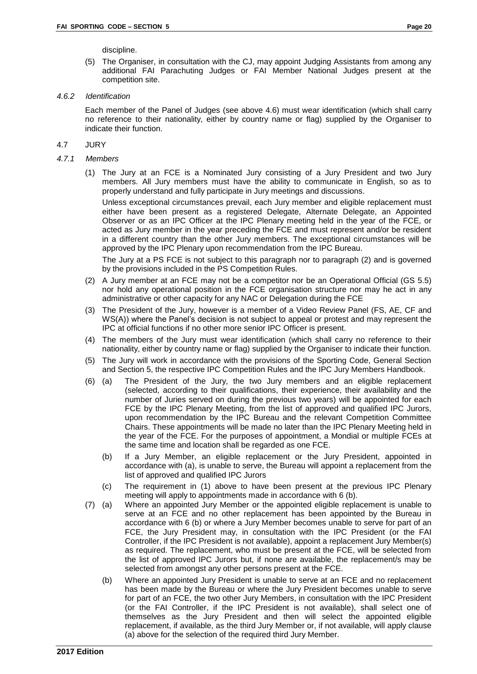discipline.

(5) The Organiser, in consultation with the CJ, may appoint Judging Assistants from among any additional FAI Parachuting Judges or FAI Member National Judges present at the competition site.

#### *4.6.2 Identification*

Each member of the Panel of Judges (see above 4.6) must wear identification (which shall carry no reference to their nationality, either by country name or flag) supplied by the Organiser to indicate their function.

#### <span id="page-23-0"></span>4.7 JURY

#### *4.7.1 Members*

(1) The Jury at an FCE is a Nominated Jury consisting of a Jury President and two Jury members. All Jury members must have the ability to communicate in English, so as to properly understand and fully participate in Jury meetings and discussions.

Unless exceptional circumstances prevail, each Jury member and eligible replacement must either have been present as a registered Delegate, Alternate Delegate, an Appointed Observer or as an IPC Officer at the IPC Plenary meeting held in the year of the FCE, or acted as Jury member in the year preceding the FCE and must represent and/or be resident in a different country than the other Jury members. The exceptional circumstances will be approved by the IPC Plenary upon recommendation from the IPC Bureau.

The Jury at a PS FCE is not subject to this paragraph nor to paragraph (2) and is governed by the provisions included in the PS Competition Rules.

- (2) A Jury member at an FCE may not be a competitor nor be an Operational Official (GS 5.5) nor hold any operational position in the FCE organisation structure nor may he act in any administrative or other capacity for any NAC or Delegation during the FCE
- (3) The President of the Jury, however is a member of a Video Review Panel (FS, AE, CF and WS(A)) where the Panel's decision is not subject to appeal or protest and may represent the IPC at official functions if no other more senior IPC Officer is present.
- (4) The members of the Jury must wear identification (which shall carry no reference to their nationality, either by country name or flag) supplied by the Organiser to indicate their function.
- (5) The Jury will work in accordance with the provisions of the Sporting Code, General Section and Section 5, the respective IPC Competition Rules and the IPC Jury Members Handbook.
- (6) (a) The President of the Jury, the two Jury members and an eligible replacement (selected, according to their qualifications, their experience, their availability and the number of Juries served on during the previous two years) will be appointed for each FCE by the IPC Plenary Meeting, from the list of approved and qualified IPC Jurors, upon recommendation by the IPC Bureau and the relevant Competition Committee Chairs. These appointments will be made no later than the IPC Plenary Meeting held in the year of the FCE. For the purposes of appointment, a Mondial or multiple FCEs at the same time and location shall be regarded as one FCE.
	- (b) If a Jury Member, an eligible replacement or the Jury President, appointed in accordance with (a), is unable to serve, the Bureau will appoint a replacement from the list of approved and qualified IPC Jurors
	- (c) The requirement in (1) above to have been present at the previous IPC Plenary meeting will apply to appointments made in accordance with 6 (b).
- (7) (a) Where an appointed Jury Member or the appointed eligible replacement is unable to serve at an FCE and no other replacement has been appointed by the Bureau in accordance with 6 (b) or where a Jury Member becomes unable to serve for part of an FCE, the Jury President may, in consultation with the IPC President (or the FAI Controller, if the IPC President is not available), appoint a replacement Jury Member(s) as required. The replacement, who must be present at the FCE, will be selected from the list of approved IPC Jurors but, if none are available, the replacement/s may be selected from amongst any other persons present at the FCE.
	- (b) Where an appointed Jury President is unable to serve at an FCE and no replacement has been made by the Bureau or where the Jury President becomes unable to serve for part of an FCE, the two other Jury Members, in consultation with the IPC President (or the FAI Controller, if the IPC President is not available), shall select one of themselves as the Jury President and then will select the appointed eligible replacement, if available, as the third Jury Member or, if not available, will apply clause (a) above for the selection of the required third Jury Member.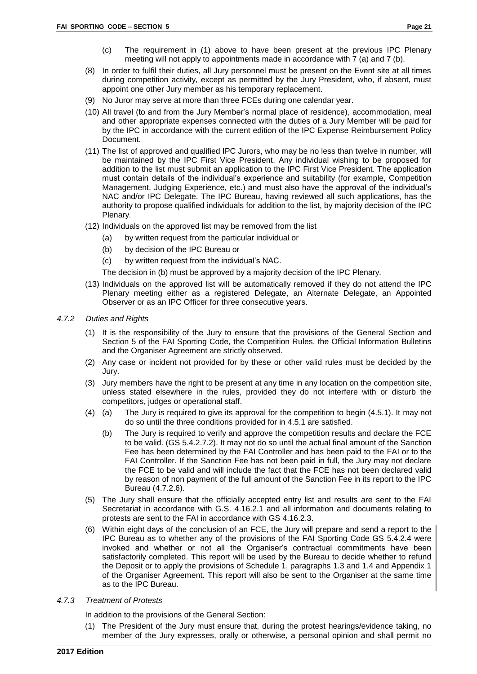- (c) The requirement in (1) above to have been present at the previous IPC Plenary meeting will not apply to appointments made in accordance with 7 (a) and 7 (b).
- (8) In order to fulfil their duties, all Jury personnel must be present on the Event site at all times during competition activity, except as permitted by the Jury President, who, if absent, must appoint one other Jury member as his temporary replacement.
- (9) No Juror may serve at more than three FCEs during one calendar year.
- (10) All travel (to and from the Jury Member's normal place of residence), accommodation, meal and other appropriate expenses connected with the duties of a Jury Member will be paid for by the IPC in accordance with the current edition of the IPC Expense Reimbursement Policy Document.
- (11) The list of approved and qualified IPC Jurors, who may be no less than twelve in number, will be maintained by the IPC First Vice President. Any individual wishing to be proposed for addition to the list must submit an application to the IPC First Vice President. The application must contain details of the individual's experience and suitability (for example, Competition Management, Judging Experience, etc.) and must also have the approval of the individual's NAC and/or IPC Delegate. The IPC Bureau, having reviewed all such applications, has the authority to propose qualified individuals for addition to the list, by majority decision of the IPC Plenary.
- (12) Individuals on the approved list may be removed from the list
	- (a) by written request from the particular individual or
	- (b) by decision of the IPC Bureau or
	- (c) by written request from the individual's NAC.

The decision in (b) must be approved by a majority decision of the IPC Plenary.

- (13) Individuals on the approved list will be automatically removed if they do not attend the IPC Plenary meeting either as a registered Delegate, an Alternate Delegate, an Appointed Observer or as an IPC Officer for three consecutive years.
- *4.7.2 Duties and Rights*
	- (1) It is the responsibility of the Jury to ensure that the provisions of the General Section and Section 5 of the FAI Sporting Code, the Competition Rules, the Official Information Bulletins and the Organiser Agreement are strictly observed.
	- (2) Any case or incident not provided for by these or other valid rules must be decided by the Jury.
	- (3) Jury members have the right to be present at any time in any location on the competition site, unless stated elsewhere in the rules, provided they do not interfere with or disturb the competitors, judges or operational staff.
	- (4) (a) The Jury is required to give its approval for the competition to begin (4.5.1). It may not do so until the three conditions provided for in 4.5.1 are satisfied.
		- (b) The Jury is required to verify and approve the competition results and declare the FCE to be valid. (GS 5.4.2.7.2). It may not do so until the actual final amount of the Sanction Fee has been determined by the FAI Controller and has been paid to the FAI or to the FAI Controller. If the Sanction Fee has not been paid in full, the Jury may not declare the FCE to be valid and will include the fact that the FCE has not been declared valid by reason of non payment of the full amount of the Sanction Fee in its report to the IPC Bureau (4.7.2.6).
	- (5) The Jury shall ensure that the officially accepted entry list and results are sent to the FAI Secretariat in accordance with G.S. 4.16.2.1 and all information and documents relating to protests are sent to the FAI in accordance with GS 4.16.2.3.
	- (6) Within eight days of the conclusion of an FCE, the Jury will prepare and send a report to the IPC Bureau as to whether any of the provisions of the FAI Sporting Code GS 5.4.2.4 were invoked and whether or not all the Organiser's contractual commitments have been satisfactorily completed. This report will be used by the Bureau to decide whether to refund the Deposit or to apply the provisions of Schedule 1, paragraphs 1.3 and 1.4 and Appendix 1 of the Organiser Agreement. This report will also be sent to the Organiser at the same time as to the IPC Bureau.
- *4.7.3 Treatment of Protests*

In addition to the provisions of the General Section:

(1) The President of the Jury must ensure that, during the protest hearings/evidence taking, no member of the Jury expresses, orally or otherwise, a personal opinion and shall permit no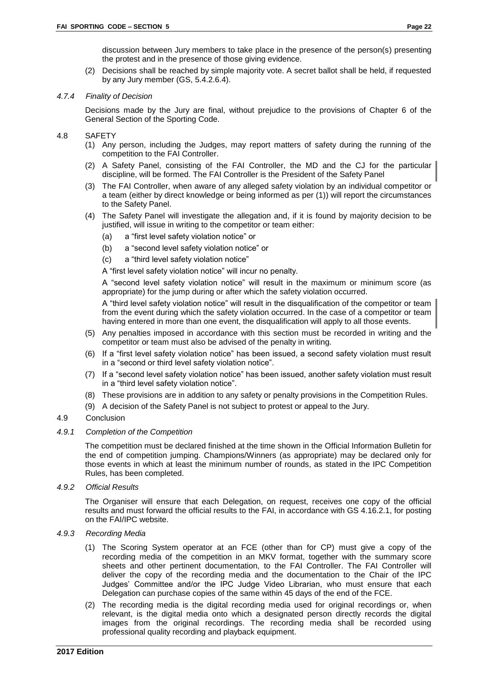discussion between Jury members to take place in the presence of the person(s) presenting the protest and in the presence of those giving evidence.

(2) Decisions shall be reached by simple majority vote. A secret ballot shall be held, if requested by any Jury member (GS, 5.4.2.6.4).

#### *4.7.4 Finality of Decision*

Decisions made by the Jury are final, without prejudice to the provisions of Chapter 6 of the General Section of the Sporting Code.

- <span id="page-25-0"></span>4.8 SAFETY
	- (1) Any person, including the Judges, may report matters of safety during the running of the competition to the FAI Controller.
	- (2) A Safety Panel, consisting of the FAI Controller, the MD and the CJ for the particular discipline, will be formed. The FAI Controller is the President of the Safety Panel
	- (3) The FAI Controller, when aware of any alleged safety violation by an individual competitor or a team (either by direct knowledge or being informed as per (1)) will report the circumstances to the Safety Panel.
	- (4) The Safety Panel will investigate the allegation and, if it is found by majority decision to be justified, will issue in writing to the competitor or team either:
		- (a) a "first level safety violation notice" or
		- (b) a "second level safety violation notice" or
		- (c) a "third level safety violation notice"

A "first level safety violation notice" will incur no penalty.

A "second level safety violation notice" will result in the maximum or minimum score (as appropriate) for the jump during or after which the safety violation occurred.

A "third level safety violation notice" will result in the disqualification of the competitor or team from the event during which the safety violation occurred. In the case of a competitor or team having entered in more than one event, the disqualification will apply to all those events.

- (5) Any penalties imposed in accordance with this section must be recorded in writing and the competitor or team must also be advised of the penalty in writing.
- (6) If a "first level safety violation notice" has been issued, a second safety violation must result in a "second or third level safety violation notice".
- (7) If a "second level safety violation notice" has been issued, another safety violation must result in a "third level safety violation notice".
- (8) These provisions are in addition to any safety or penalty provisions in the Competition Rules.
- <span id="page-25-1"></span>(9) A decision of the Safety Panel is not subject to protest or appeal to the Jury.

#### 4.9 Conclusion

#### *4.9.1 Completion of the Competition*

The competition must be declared finished at the time shown in the Official Information Bulletin for the end of competition jumping. Champions/Winners (as appropriate) may be declared only for those events in which at least the minimum number of rounds, as stated in the IPC Competition Rules, has been completed.

#### *4.9.2 Official Results*

The Organiser will ensure that each Delegation, on request, receives one copy of the official results and must forward the official results to the FAI, in accordance with GS 4.16.2.1, for posting on the FAI/IPC website.

#### *4.9.3 Recording Media*

- (1) The Scoring System operator at an FCE (other than for CP) must give a copy of the recording media of the competition in an MKV format, together with the summary score sheets and other pertinent documentation, to the FAI Controller. The FAI Controller will deliver the copy of the recording media and the documentation to the Chair of the IPC Judges' Committee and/or the IPC Judge Video Librarian, who must ensure that each Delegation can purchase copies of the same within 45 days of the end of the FCE.
- (2) The recording media is the digital recording media used for original recordings or, when relevant, is the digital media onto which a designated person directly records the digital images from the original recordings. The recording media shall be recorded using professional quality recording and playback equipment.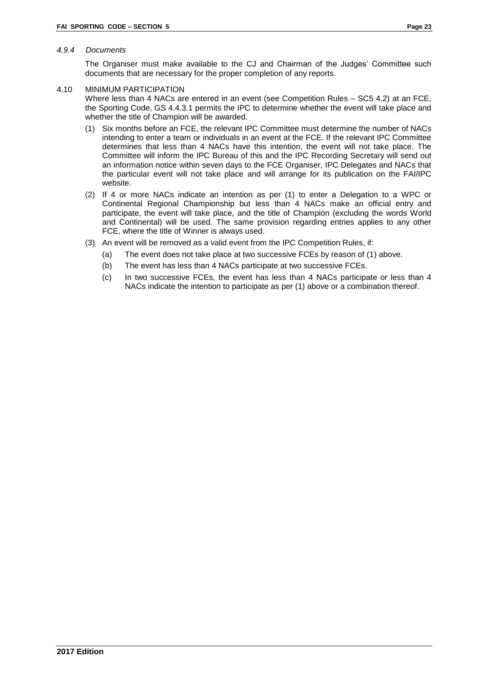#### *4.9.4 Documents*

The Organiser must make available to the CJ and Chairman of the Judges' Committee such documents that are necessary for the proper completion of any reports.

#### <span id="page-26-0"></span>4.10 MINIMUM PARTICIPATION

Where less than 4 NACs are entered in an event (see Competition Rules – SC5 4.2) at an FCE, the Sporting Code, GS 4.4.3.1 permits the IPC to determine whether the event will take place and whether the title of Champion will be awarded.

- (1) Six months before an FCE, the relevant IPC Committee must determine the number of NACs intending to enter a team or individuals in an event at the FCE. If the relevant IPC Committee determines that less than 4 NACs have this intention, the event will not take place. The Committee will inform the IPC Bureau of this and the IPC Recording Secretary will send out an information notice within seven days to the FCE Organiser, IPC Delegates and NACs that the particular event will not take place and will arrange for its publication on the FAI/IPC website.
- (2) If 4 or more NACs indicate an intention as per (1) to enter a Delegation to a WPC or Continental Regional Championship but less than 4 NACs make an official entry and participate, the event will take place, and the title of Champion (excluding the words World and Continental) will be used. The same provision regarding entries applies to any other FCE, where the title of Winner is always used.
- (3) An event will be removed as a valid event from the IPC Competition Rules, if:
	- (a) The event does not take place at two successive FCEs by reason of (1) above.
	- (b) The event has less than 4 NACs participate at two successive FCEs.
	- (c) In two successive FCEs, the event has less than 4 NACs participate or less than 4 NACs indicate the intention to participate as per (1) above or a combination thereof.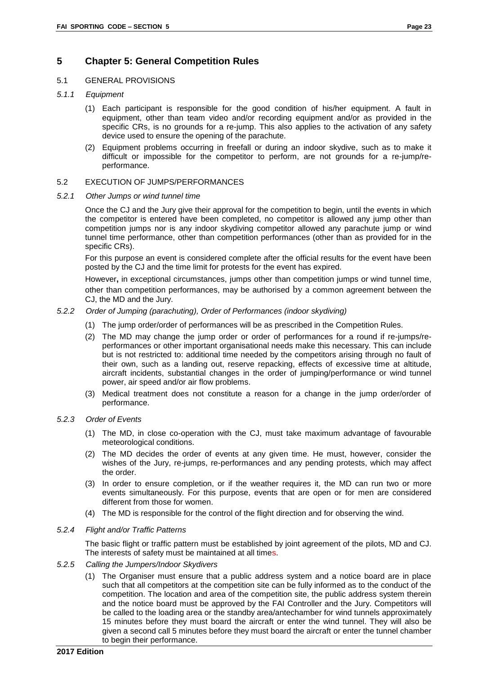## <span id="page-27-0"></span>**5 Chapter 5: General Competition Rules**

#### <span id="page-27-1"></span>5.1 GENERAL PROVISIONS

- *5.1.1 Equipment*
	- (1) Each participant is responsible for the good condition of his/her equipment. A fault in equipment, other than team video and/or recording equipment and/or as provided in the specific CRs, is no grounds for a re-jump. This also applies to the activation of any safety device used to ensure the opening of the parachute.
	- (2) Equipment problems occurring in freefall or during an indoor skydive, such as to make it difficult or impossible for the competitor to perform, are not grounds for a re-jump/reperformance.

#### <span id="page-27-2"></span>5.2 EXECUTION OF JUMPS/PERFORMANCES

#### *5.2.1 Other Jumps or wind tunnel time*

Once the CJ and the Jury give their approval for the competition to begin, until the events in which the competitor is entered have been completed, no competitor is allowed any jump other than competition jumps nor is any indoor skydiving competitor allowed any parachute jump or wind tunnel time performance, other than competition performances (other than as provided for in the specific CRs).

For this purpose an event is considered complete after the official results for the event have been posted by the CJ and the time limit for protests for the event has expired.

However**,** in exceptional circumstances, jumps other than competition jumps or wind tunnel time, other than competition performances, may be authorised by a common agreement between the CJ, the MD and the Jury.

#### *5.2.2 Order of Jumping (parachuting), Order of Performances (indoor skydiving)*

- (1) The jump order/order of performances will be as prescribed in the Competition Rules.
- (2) The MD may change the jump order or order of performances for a round if re-jumps/reperformances or other important organisational needs make this necessary. This can include but is not restricted to: additional time needed by the competitors arising through no fault of their own, such as a landing out, reserve repacking, effects of excessive time at altitude, aircraft incidents, substantial changes in the order of jumping/performance or wind tunnel power, air speed and/or air flow problems.
- (3) Medical treatment does not constitute a reason for a change in the jump order/order of performance.

#### *5.2.3 Order of Events*

- (1) The MD, in close co-operation with the CJ, must take maximum advantage of favourable meteorological conditions.
- (2) The MD decides the order of events at any given time. He must, however, consider the wishes of the Jury, re-jumps, re-performances and any pending protests, which may affect the order.
- (3) In order to ensure completion, or if the weather requires it, the MD can run two or more events simultaneously. For this purpose, events that are open or for men are considered different from those for women.
- (4) The MD is responsible for the control of the flight direction and for observing the wind.

#### *5.2.4 Flight and/or Traffic Patterns*

The basic flight or traffic pattern must be established by joint agreement of the pilots, MD and CJ. The interests of safety must be maintained at all times.

- *5.2.5 Calling the Jumpers/Indoor Skydivers*
	- (1) The Organiser must ensure that a public address system and a notice board are in place such that all competitors at the competition site can be fully informed as to the conduct of the competition. The location and area of the competition site, the public address system therein and the notice board must be approved by the FAI Controller and the Jury. Competitors will be called to the loading area or the standby area/antechamber for wind tunnels approximately 15 minutes before they must board the aircraft or enter the wind tunnel. They will also be given a second call 5 minutes before they must board the aircraft or enter the tunnel chamber to begin their performance.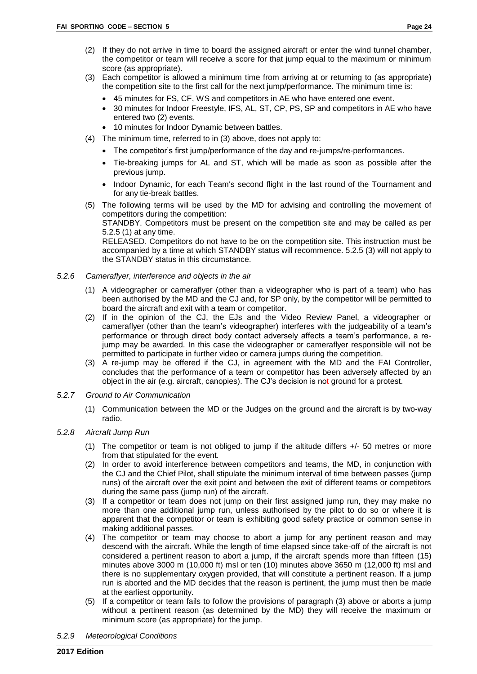- (2) If they do not arrive in time to board the assigned aircraft or enter the wind tunnel chamber, the competitor or team will receive a score for that jump equal to the maximum or minimum score (as appropriate).
- (3) Each competitor is allowed a minimum time from arriving at or returning to (as appropriate) the competition site to the first call for the next jump/performance. The minimum time is:
	- 45 minutes for FS, CF, WS and competitors in AE who have entered one event.
	- 30 minutes for Indoor Freestyle, IFS, AL, ST, CP, PS, SP and competitors in AE who have entered two (2) events.
	- 10 minutes for Indoor Dynamic between battles.
- (4) The minimum time, referred to in (3) above, does not apply to:
	- The competitor's first jump/performance of the day and re-jumps/re-performances.
		- Tie-breaking jumps for AL and ST, which will be made as soon as possible after the previous jump.
		- Indoor Dynamic, for each Team's second flight in the last round of the Tournament and for any tie-break battles.
- (5) The following terms will be used by the MD for advising and controlling the movement of competitors during the competition:

STANDBY. Competitors must be present on the competition site and may be called as per 5.2.5 (1) at any time.

RELEASED. Competitors do not have to be on the competition site. This instruction must be accompanied by a time at which STANDBY status will recommence. 5.2.5 (3) will not apply to the STANDBY status in this circumstance.

- *5.2.6 Cameraflyer, interference and objects in the air*
	- (1) A videographer or cameraflyer (other than a videographer who is part of a team) who has been authorised by the MD and the CJ and, for SP only, by the competitor will be permitted to board the aircraft and exit with a team or competitor.
	- (2) If in the opinion of the CJ, the EJs and the Video Review Panel, a videographer or cameraflyer (other than the team's videographer) interferes with the judgeability of a team's performance or through direct body contact adversely affects a team's performance, a rejump may be awarded. In this case the videographer or cameraflyer responsible will not be permitted to participate in further video or camera jumps during the competition.
	- (3) A re-jump may be offered if the CJ, in agreement with the MD and the FAI Controller, concludes that the performance of a team or competitor has been adversely affected by an object in the air (e.g. aircraft, canopies). The CJ's decision is not ground for a protest.
- *5.2.7 Ground to Air Communication*
	- (1) Communication between the MD or the Judges on the ground and the aircraft is by two-way radio.
- *5.2.8 Aircraft Jump Run*
	- (1) The competitor or team is not obliged to jump if the altitude differs +/- 50 metres or more from that stipulated for the event.
	- (2) In order to avoid interference between competitors and teams, the MD, in conjunction with the CJ and the Chief Pilot, shall stipulate the minimum interval of time between passes (jump runs) of the aircraft over the exit point and between the exit of different teams or competitors during the same pass (jump run) of the aircraft.
	- (3) If a competitor or team does not jump on their first assigned jump run, they may make no more than one additional jump run, unless authorised by the pilot to do so or where it is apparent that the competitor or team is exhibiting good safety practice or common sense in making additional passes.
	- (4) The competitor or team may choose to abort a jump for any pertinent reason and may descend with the aircraft. While the length of time elapsed since take-off of the aircraft is not considered a pertinent reason to abort a jump, if the aircraft spends more than fifteen (15) minutes above 3000 m (10,000 ft) msl or ten (10) minutes above 3650 m (12,000 ft) msl and there is no supplementary oxygen provided, that will constitute a pertinent reason. If a jump run is aborted and the MD decides that the reason is pertinent, the jump must then be made at the earliest opportunity.
	- (5) If a competitor or team fails to follow the provisions of paragraph (3) above or aborts a jump without a pertinent reason (as determined by the MD) they will receive the maximum or minimum score (as appropriate) for the jump.

*5.2.9 Meteorological Conditions*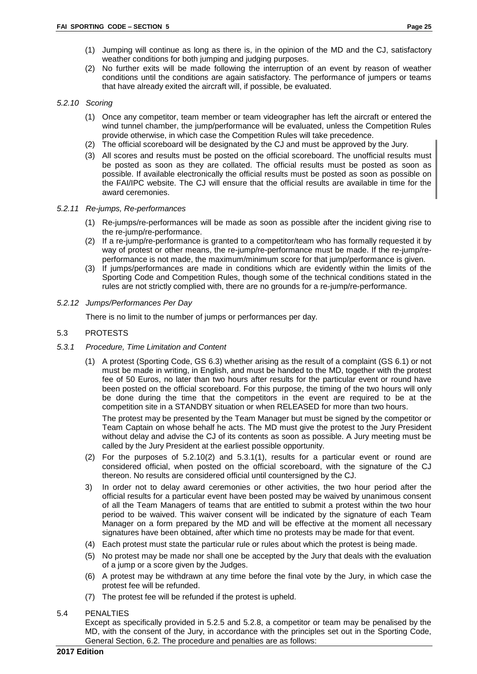- (1) Jumping will continue as long as there is, in the opinion of the MD and the CJ, satisfactory weather conditions for both jumping and judging purposes.
- (2) No further exits will be made following the interruption of an event by reason of weather conditions until the conditions are again satisfactory. The performance of jumpers or teams that have already exited the aircraft will, if possible, be evaluated.

#### *5.2.10 Scoring*

- (1) Once any competitor, team member or team videographer has left the aircraft or entered the wind tunnel chamber, the jump/performance will be evaluated, unless the Competition Rules provide otherwise, in which case the Competition Rules will take precedence.
- (2) The official scoreboard will be designated by the CJ and must be approved by the Jury.
- (3) All scores and results must be posted on the official scoreboard. The unofficial results must be posted as soon as they are collated. The official results must be posted as soon as possible. If available electronically the official results must be posted as soon as possible on the FAI/IPC website. The CJ will ensure that the official results are available in time for the award ceremonies.

#### *5.2.11 Re-jumps, Re-performances*

- (1) Re-jumps/re-performances will be made as soon as possible after the incident giving rise to the re-jump/re-performance.
- (2) If a re-jump/re-performance is granted to a competitor/team who has formally requested it by way of protest or other means, the re-jump/re-performance must be made. If the re-jump/reperformance is not made, the maximum/minimum score for that jump/performance is given.
- (3) If jumps/performances are made in conditions which are evidently within the limits of the Sporting Code and Competition Rules, though some of the technical conditions stated in the rules are not strictly complied with, there are no grounds for a re-jump/re-performance.
- *5.2.12 Jumps/Performances Per Day*

There is no limit to the number of jumps or performances per day.

#### <span id="page-29-0"></span>5.3 PROTESTS

- *5.3.1 Procedure, Time Limitation and Content*
	- (1) A protest (Sporting Code, GS 6.3) whether arising as the result of a complaint (GS 6.1) or not must be made in writing, in English, and must be handed to the MD, together with the protest fee of 50 Euros, no later than two hours after results for the particular event or round have been posted on the official scoreboard. For this purpose, the timing of the two hours will only be done during the time that the competitors in the event are required to be at the competition site in a STANDBY situation or when RELEASED for more than two hours.

The protest may be presented by the Team Manager but must be signed by the competitor or Team Captain on whose behalf he acts. The MD must give the protest to the Jury President without delay and advise the CJ of its contents as soon as possible. A Jury meeting must be called by the Jury President at the earliest possible opportunity.

- (2) For the purposes of 5.2.10(2) and 5.3.1(1), results for a particular event or round are considered official, when posted on the official scoreboard, with the signature of the CJ thereon. No results are considered official until countersigned by the CJ.
- 3) In order not to delay award ceremonies or other activities, the two hour period after the official results for a particular event have been posted may be waived by unanimous consent of all the Team Managers of teams that are entitled to submit a protest within the two hour period to be waived. This waiver consent will be indicated by the signature of each Team Manager on a form prepared by the MD and will be effective at the moment all necessary signatures have been obtained, after which time no protests may be made for that event.
- (4) Each protest must state the particular rule or rules about which the protest is being made.
- (5) No protest may be made nor shall one be accepted by the Jury that deals with the evaluation of a jump or a score given by the Judges.
- (6) A protest may be withdrawn at any time before the final vote by the Jury, in which case the protest fee will be refunded.
- (7) The protest fee will be refunded if the protest is upheld.

#### <span id="page-29-1"></span>5.4 PENALTIES

Except as specifically provided in 5.2.5 and 5.2.8, a competitor or team may be penalised by the MD, with the consent of the Jury, in accordance with the principles set out in the Sporting Code, General Section, 6.2. The procedure and penalties are as follows: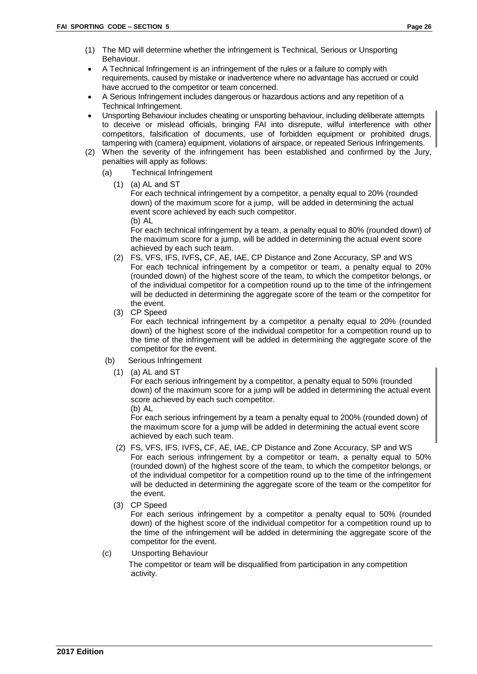- (1) The MD will determine whether the infringement is Technical, Serious or Unsporting Behaviour.
- A Technical Infringement is an infringement of the rules or a failure to comply with requirements, caused by mistake or inadvertence where no advantage has accrued or could have accrued to the competitor or team concerned.
- A Serious Infringement includes dangerous or hazardous actions and any repetition of a Technical Infringement.
- Unsporting Behaviour includes cheating or unsporting behaviour, including deliberate attempts to deceive or mislead officials, bringing FAI into disrepute, wilful interference with other competitors, falsification of documents, use of forbidden equipment or prohibited drugs, tampering with (camera) equipment, violations of airspace, or repeated Serious Infringements.
- (2) When the severity of the infringement has been established and confirmed by the Jury, penalties will apply as follows:
	- (a) Technical Infringement
		- $(1)$  (a) AL and ST

For each technical infringement by a competitor, a penalty equal to 20% (rounded down) of the maximum score for a jump, will be added in determining the actual event score achieved by each such competitor.

(b) AL

For each technical infringement by a team, a penalty equal to 80% (rounded down) of the maximum score for a jump, will be added in determining the actual event score achieved by each such team.

- (2) FS, VFS, IFS, IVFS**,** CF, AE, IAE, CP Distance and Zone Accuracy, SP and WS For each technical infringement by a competitor or team, a penalty equal to 20% (rounded down) of the highest score of the team, to which the competitor belongs, or of the individual competitor for a competition round up to the time of the infringement will be deducted in determining the aggregate score of the team or the competitor for the event.
- (3) CP Speed

For each technical infringement by a competitor a penalty equal to 20% (rounded down) of the highest score of the individual competitor for a competition round up to the time of the infringement will be added in determining the aggregate score of the competitor for the event.

- (b) Serious Infringement
	- (1) (a) AL and ST

For each serious infringement by a competitor, a penalty equal to 50% (rounded down) of the maximum score for a jump will be added in determining the actual event score achieved by each such competitor.

(b) AL

For each serious infringement by a team a penalty equal to 200% (rounded down) of the maximum score for a jump will be added in determining the actual event score achieved by each such team.

- (2) FS, VFS, IFS, IVFS**,** CF, AE, IAE, CP Distance and Zone Accuracy, SP and WS For each serious infringement by a competitor or team, a penalty equal to 50% (rounded down) of the highest score of the team, to which the competitor belongs, or of the individual competitor for a competition round up to the time of the infringement will be deducted in determining the aggregate score of the team or the competitor for the event.
- (3) CP Speed

For each serious infringement by a competitor a penalty equal to 50% (rounded down) of the highest score of the individual competitor for a competition round up to the time of the infringement will be added in determining the aggregate score of the competitor for the event.

(c) Unsporting Behaviour

 The competitor or team will be disqualified from participation in any competition activity.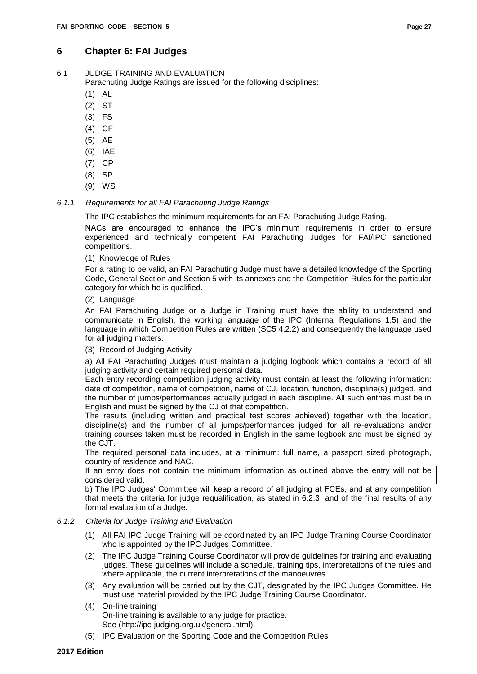## <span id="page-31-0"></span>**6 Chapter 6: FAI Judges**

<span id="page-31-1"></span>6.1 JUDGE TRAINING AND EVALUATION

Parachuting Judge Ratings are issued for the following disciplines:

- (1) AL
- (2) ST
- (3) FS
- (4) CF
- (5) AE
- (6) IAE
- (7) CP
- 
- (8) SP (9) WS
- *6.1.1 Requirements for all FAI Parachuting Judge Ratings*

The IPC establishes the minimum requirements for an FAI Parachuting Judge Rating.

NACs are encouraged to enhance the IPC's minimum requirements in order to ensure experienced and technically competent FAI Parachuting Judges for FAI/IPC sanctioned competitions.

(1) Knowledge of Rules

For a rating to be valid, an FAI Parachuting Judge must have a detailed knowledge of the Sporting Code, General Section and Section 5 with its annexes and the Competition Rules for the particular category for which he is qualified.

(2) Language

An FAI Parachuting Judge or a Judge in Training must have the ability to understand and communicate in English, the working language of the IPC (Internal Regulations 1.5) and the language in which Competition Rules are written (SC5 4.2.2) and consequently the language used for all judging matters.

(3) Record of Judging Activity

a) All FAI Parachuting Judges must maintain a judging logbook which contains a record of all judging activity and certain required personal data.

Each entry recording competition judging activity must contain at least the following information: date of competition, name of competition, name of CJ, location, function, discipline(s) judged, and the number of jumps/performances actually judged in each discipline. All such entries must be in English and must be signed by the CJ of that competition.

The results (including written and practical test scores achieved) together with the location, discipline(s) and the number of all jumps/performances judged for all re-evaluations and/or training courses taken must be recorded in English in the same logbook and must be signed by the CJT.

The required personal data includes, at a minimum: full name, a passport sized photograph, country of residence and NAC.

If an entry does not contain the minimum information as outlined above the entry will not be considered valid.

b) The IPC Judges' Committee will keep a record of all judging at FCEs, and at any competition that meets the criteria for judge requalification, as stated in 6.2.3, and of the final results of any formal evaluation of a Judge.

#### *6.1.2 Criteria for Judge Training and Evaluation*

- (1) All FAI IPC Judge Training will be coordinated by an IPC Judge Training Course Coordinator who is appointed by the IPC Judges Committee.
- (2) The IPC Judge Training Course Coordinator will provide guidelines for training and evaluating judges. These guidelines will include a schedule, training tips, interpretations of the rules and where applicable, the current interpretations of the manoeuvres.
- (3) Any evaluation will be carried out by the CJT, designated by the IPC Judges Committee. He must use material provided by the IPC Judge Training Course Coordinator.
- (4) On-line training On-line training is available to any judge for practice. See (http://ipc-judging.org.uk/general.html).
- (5) IPC Evaluation on the Sporting Code and the Competition Rules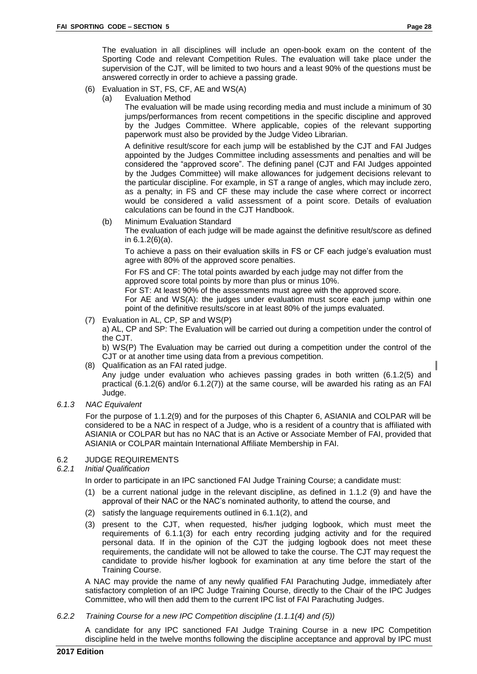The evaluation in all disciplines will include an open-book exam on the content of the Sporting Code and relevant Competition Rules. The evaluation will take place under the supervision of the CJT, will be limited to two hours and a least 90% of the questions must be answered correctly in order to achieve a passing grade.

- (6) Evaluation in ST, FS, CF, AE and WS(A)
	- (a) Evaluation Method

The evaluation will be made using recording media and must include a minimum of 30 jumps/performances from recent competitions in the specific discipline and approved by the Judges Committee. Where applicable, copies of the relevant supporting paperwork must also be provided by the Judge Video Librarian.

A definitive result/score for each jump will be established by the CJT and FAI Judges appointed by the Judges Committee including assessments and penalties and will be considered the "approved score". The defining panel (CJT and FAI Judges appointed by the Judges Committee) will make allowances for judgement decisions relevant to the particular discipline. For example, in ST a range of angles, which may include zero, as a penalty; in FS and CF these may include the case where correct or incorrect would be considered a valid assessment of a point score. Details of evaluation calculations can be found in the CJT Handbook.

(b) Minimum Evaluation Standard

The evaluation of each judge will be made against the definitive result/score as defined in 6.1.2(6)(a).

To achieve a pass on their evaluation skills in FS or CF each judge's evaluation must agree with 80% of the approved score penalties.

For FS and CF: The total points awarded by each judge may not differ from the approved score total points by more than plus or minus 10%.

For ST: At least 90% of the assessments must agree with the approved score. For AE and WS(A): the judges under evaluation must score each jump within one point of the definitive results/score in at least 80% of the jumps evaluated.

(7) Evaluation in AL, CP, SP and WS(P)

a) AL, CP and SP: The Evaluation will be carried out during a competition under the control of the CJT.

b) WS(P) The Evaluation may be carried out during a competition under the control of the CJT or at another time using data from a previous competition.

- (8) Qualification as an FAI rated judge. Any judge under evaluation who achieves passing grades in both written (6.1.2(5) and practical (6.1.2(6) and/or 6.1.2(7)) at the same course, will be awarded his rating as an FAI Judge.
- *6.1.3 NAC Equivalent*

For the purpose of 1.1.2(9) and for the purposes of this Chapter 6, ASIANIA and COLPAR will be considered to be a NAC in respect of a Judge, who is a resident of a country that is affiliated with ASIANIA or COLPAR but has no NAC that is an Active or Associate Member of FAI, provided that ASIANIA or COLPAR maintain International Affiliate Membership in FAI.

#### <span id="page-32-0"></span>6.2 JUDGE REQUIREMENTS

#### *6.2.1 Initial Qualification*

In order to participate in an IPC sanctioned FAI Judge Training Course; a candidate must:

- (1) be a current national judge in the relevant discipline, as defined in 1.1.2 (9) and have the approval of their NAC or the NAC's nominated authority, to attend the course, and
- (2) satisfy the language requirements outlined in 6.1.1(2), and
- (3) present to the CJT, when requested, his/her judging logbook, which must meet the requirements of 6.1.1(3) for each entry recording judging activity and for the required personal data. If in the opinion of the CJT the judging logbook does not meet these requirements, the candidate will not be allowed to take the course. The CJT may request the candidate to provide his/her logbook for examination at any time before the start of the Training Course.

A NAC may provide the name of any newly qualified FAI Parachuting Judge, immediately after satisfactory completion of an IPC Judge Training Course, directly to the Chair of the IPC Judges Committee, who will then add them to the current IPC list of FAI Parachuting Judges.

*6.2.2 Training Course for a new IPC Competition discipline (1.1.1(4) and (5))*

A candidate for any IPC sanctioned FAI Judge Training Course in a new IPC Competition discipline held in the twelve months following the discipline acceptance and approval by IPC must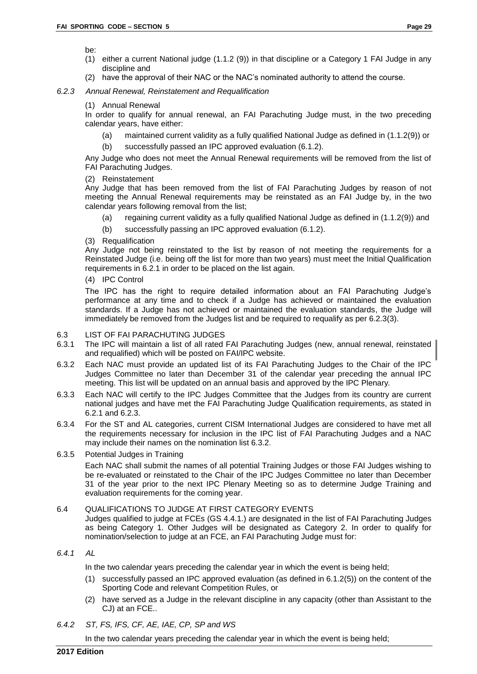be:

- (1) either a current National judge (1.1.2 (9)) in that discipline or a Category 1 FAI Judge in any discipline and
- (2) have the approval of their NAC or the NAC's nominated authority to attend the course.

#### *6.2.3 Annual Renewal, Reinstatement and Requalification*

(1) Annual Renewal

In order to qualify for annual renewal, an FAI Parachuting Judge must, in the two preceding calendar years, have either:

- (a) maintained current validity as a fully qualified National Judge as defined in (1.1.2(9)) or
- (b) successfully passed an IPC approved evaluation (6.1.2).

Any Judge who does not meet the Annual Renewal requirements will be removed from the list of FAI Parachuting Judges.

#### (2) Reinstatement

Any Judge that has been removed from the list of FAI Parachuting Judges by reason of not meeting the Annual Renewal requirements may be reinstated as an FAI Judge by, in the two calendar years following removal from the list;

- (a) regaining current validity as a fully qualified National Judge as defined in (1.1.2(9)) and
- (b) successfully passing an IPC approved evaluation (6.1.2).
- (3) Requalification

Any Judge not being reinstated to the list by reason of not meeting the requirements for a Reinstated Judge (i.e. being off the list for more than two years) must meet the Initial Qualification requirements in 6.2.1 in order to be placed on the list again.

#### (4) IPC Control

The IPC has the right to require detailed information about an FAI Parachuting Judge's performance at any time and to check if a Judge has achieved or maintained the evaluation standards. If a Judge has not achieved or maintained the evaluation standards, the Judge will immediately be removed from the Judges list and be required to requalify as per 6.2.3(3).

#### <span id="page-33-0"></span>6.3 LIST OF FAI PARACHUTING JUDGES

- 6.3.1 The IPC will maintain a list of all rated FAI Parachuting Judges (new, annual renewal, reinstated and requalified) which will be posted on FAI/IPC website.
- 6.3.2 Each NAC must provide an updated list of its FAI Parachuting Judges to the Chair of the IPC Judges Committee no later than December 31 of the calendar year preceding the annual IPC meeting. This list will be updated on an annual basis and approved by the IPC Plenary*.*
- 6.3.3 Each NAC will certify to the IPC Judges Committee that the Judges from its country are current national judges and have met the FAI Parachuting Judge Qualification requirements, as stated in 6.2.1 and 6.2.3.
- 6.3.4 For the ST and AL categories, current CISM International Judges are considered to have met all the requirements necessary for inclusion in the IPC list of FAI Parachuting Judges and a NAC may include their names on the nomination list 6.3.2.
- 6.3.5 Potential Judges in Training

Each NAC shall submit the names of all potential Training Judges or those FAI Judges wishing to be re-evaluated or reinstated to the Chair of the IPC Judges Committee no later than December 31 of the year prior to the next IPC Plenary Meeting so as to determine Judge Training and evaluation requirements for the coming year.

#### <span id="page-33-1"></span>6.4 QUALIFICATIONS TO JUDGE AT FIRST CATEGORY EVENTS

Judges qualified to judge at FCEs (GS 4.4.1.) are designated in the list of FAI Parachuting Judges as being Category 1. Other Judges will be designated as Category 2. In order to qualify for nomination/selection to judge at an FCE, an FAI Parachuting Judge must for:

#### *6.4.1 AL*

In the two calendar years preceding the calendar year in which the event is being held;

- (1) successfully passed an IPC approved evaluation (as defined in 6.1.2(5)) on the content of the Sporting Code and relevant Competition Rules, or
- (2) have served as a Judge in the relevant discipline in any capacity (other than Assistant to the CJ) at an FCE..
- *6.4.2 ST, FS, IFS, CF, AE, IAE, CP, SP and WS*

In the two calendar years preceding the calendar year in which the event is being held;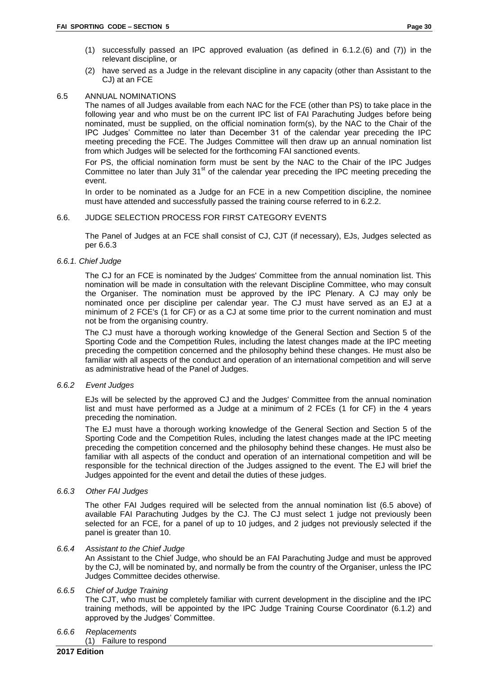- (1) successfully passed an IPC approved evaluation (as defined in 6.1.2.(6) and (7)) in the relevant discipline, or
- (2) have served as a Judge in the relevant discipline in any capacity (other than Assistant to the CJ) at an FCE

#### <span id="page-34-0"></span>6.5 ANNUAL NOMINATIONS

The names of all Judges available from each NAC for the FCE (other than PS) to take place in the following year and who must be on the current IPC list of FAI Parachuting Judges before being nominated, must be supplied, on the official nomination form(s), by the NAC to the Chair of the IPC Judges' Committee no later than December 31 of the calendar year preceding the IPC meeting preceding the FCE. The Judges Committee will then draw up an annual nomination list from which Judges will be selected for the forthcoming FAI sanctioned events.

For PS, the official nomination form must be sent by the NAC to the Chair of the IPC Judges Committee no later than July 31<sup>st</sup> of the calendar year preceding the IPC meeting preceding the event.

In order to be nominated as a Judge for an FCE in a new Competition discipline, the nominee must have attended and successfully passed the training course referred to in 6.2.2.

#### <span id="page-34-1"></span>6.6. JUDGE SELECTION PROCESS FOR FIRST CATEGORY EVENTS

The Panel of Judges at an FCE shall consist of CJ, CJT (if necessary), EJs, Judges selected as per 6.6.3

#### *6.6.1. Chief Judge*

The CJ for an FCE is nominated by the Judges' Committee from the annual nomination list. This nomination will be made in consultation with the relevant Discipline Committee, who may consult the Organiser. The nomination must be approved by the IPC Plenary. A CJ may only be nominated once per discipline per calendar year. The CJ must have served as an EJ at a minimum of 2 FCE's (1 for CF) or as a CJ at some time prior to the current nomination and must not be from the organising country.

The CJ must have a thorough working knowledge of the General Section and Section 5 of the Sporting Code and the Competition Rules, including the latest changes made at the IPC meeting preceding the competition concerned and the philosophy behind these changes. He must also be familiar with all aspects of the conduct and operation of an international competition and will serve as administrative head of the Panel of Judges.

#### *6.6.2 Event Judges*

EJs will be selected by the approved CJ and the Judges' Committee from the annual nomination list and must have performed as a Judge at a minimum of 2 FCEs (1 for CF) in the 4 years preceding the nomination.

The EJ must have a thorough working knowledge of the General Section and Section 5 of the Sporting Code and the Competition Rules, including the latest changes made at the IPC meeting preceding the competition concerned and the philosophy behind these changes. He must also be familiar with all aspects of the conduct and operation of an international competition and will be responsible for the technical direction of the Judges assigned to the event. The EJ will brief the Judges appointed for the event and detail the duties of these judges.

#### *6.6.3 Other FAI Judges*

The other FAI Judges required will be selected from the annual nomination list (6.5 above) of available FAI Parachuting Judges by the CJ. The CJ must select 1 judge not previously been selected for an FCE, for a panel of up to 10 judges, and 2 judges not previously selected if the panel is greater than 10.

#### *6.6.4 Assistant to the Chief Judge*

An Assistant to the Chief Judge, who should be an FAI Parachuting Judge and must be approved by the CJ, will be nominated by, and normally be from the country of the Organiser, unless the IPC Judges Committee decides otherwise.

#### *6.6.5 Chief of Judge Training*

The CJT, who must be completely familiar with current development in the discipline and the IPC training methods, will be appointed by the IPC Judge Training Course Coordinator (6.1.2) and approved by the Judges' Committee.

#### *6.6.6 Replacements*

(1) Failure to respond

#### **2017 Edition**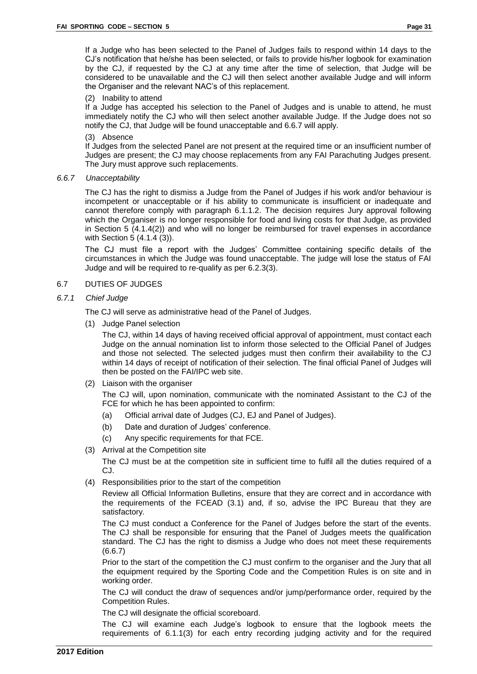#### (2) Inability to attend

If a Judge has accepted his selection to the Panel of Judges and is unable to attend, he must immediately notify the CJ who will then select another available Judge. If the Judge does not so notify the CJ, that Judge will be found unacceptable and 6.6.7 will apply.

#### (3) Absence

If Judges from the selected Panel are not present at the required time or an insufficient number of Judges are present; the CJ may choose replacements from any FAI Parachuting Judges present. The Jury must approve such replacements.

#### *6.6.7 Unacceptability*

The CJ has the right to dismiss a Judge from the Panel of Judges if his work and/or behaviour is incompetent or unacceptable or if his ability to communicate is insufficient or inadequate and cannot therefore comply with paragraph 6.1.1.2. The decision requires Jury approval following which the Organiser is no longer responsible for food and living costs for that Judge, as provided in Section 5 (4.1.4(2)) and who will no longer be reimbursed for travel expenses in accordance with Section 5 (4.1.4 (3)).

The CJ must file a report with the Judges' Committee containing specific details of the circumstances in which the Judge was found unacceptable. The judge will lose the status of FAI Judge and will be required to re-qualify as per 6.2.3(3).

#### <span id="page-35-0"></span>6.7 DUTIES OF JUDGES

#### *6.7.1 Chief Judge*

The CJ will serve as administrative head of the Panel of Judges.

the Organiser and the relevant NAC's of this replacement.

(1) Judge Panel selection

The CJ, within 14 days of having received official approval of appointment, must contact each Judge on the annual nomination list to inform those selected to the Official Panel of Judges and those not selected*.* The selected judges must then confirm their availability to the CJ within 14 days of receipt of notification of their selection. The final official Panel of Judges will then be posted on the FAI/IPC web site.

(2) Liaison with the organiser

The CJ will, upon nomination, communicate with the nominated Assistant to the CJ of the FCE for which he has been appointed to confirm:

- (a) Official arrival date of Judges (CJ, EJ and Panel of Judges).
- (b) Date and duration of Judges' conference.
- (c) Any specific requirements for that FCE.
- (3) Arrival at the Competition site

The CJ must be at the competition site in sufficient time to fulfil all the duties required of a CJ.

(4) Responsibilities prior to the start of the competition

Review all Official Information Bulletins, ensure that they are correct and in accordance with the requirements of the FCEAD (3.1) and, if so, advise the IPC Bureau that they are satisfactory.

The CJ must conduct a Conference for the Panel of Judges before the start of the events. The CJ shall be responsible for ensuring that the Panel of Judges meets the qualification standard. The CJ has the right to dismiss a Judge who does not meet these requirements (6.6.7)

Prior to the start of the competition the CJ must confirm to the organiser and the Jury that all the equipment required by the Sporting Code and the Competition Rules is on site and in working order.

The CJ will conduct the draw of sequences and/or jump/performance order, required by the Competition Rules.

The CJ will designate the official scoreboard.

The CJ will examine each Judge's logbook to ensure that the logbook meets the requirements of 6.1.1(3) for each entry recording judging activity and for the required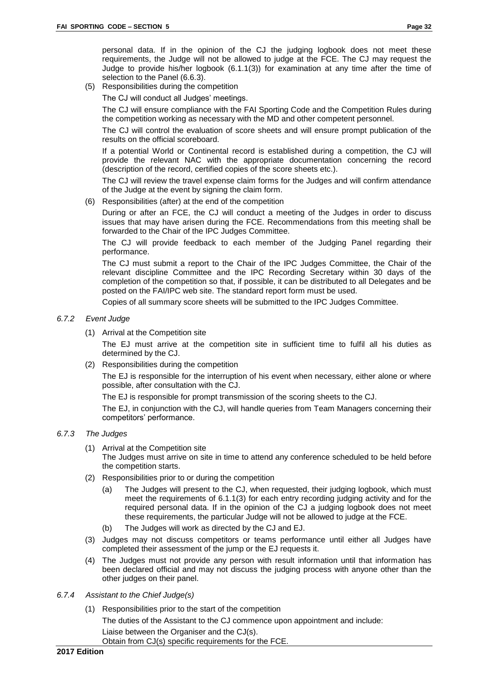personal data. If in the opinion of the CJ the judging logbook does not meet these requirements, the Judge will not be allowed to judge at the FCE. The CJ may request the Judge to provide his/her logbook (6.1.1(3)) for examination at any time after the time of selection to the Panel (6.6.3).

(5) Responsibilities during the competition

The CJ will conduct all Judges' meetings.

The CJ will ensure compliance with the FAI Sporting Code and the Competition Rules during the competition working as necessary with the MD and other competent personnel.

The CJ will control the evaluation of score sheets and will ensure prompt publication of the results on the official scoreboard.

If a potential World or Continental record is established during a competition, the CJ will provide the relevant NAC with the appropriate documentation concerning the record (description of the record, certified copies of the score sheets etc.).

The CJ will review the travel expense claim forms for the Judges and will confirm attendance of the Judge at the event by signing the claim form.

(6) Responsibilities (after) at the end of the competition

During or after an FCE, the CJ will conduct a meeting of the Judges in order to discuss issues that may have arisen during the FCE. Recommendations from this meeting shall be forwarded to the Chair of the IPC Judges Committee.

The CJ will provide feedback to each member of the Judging Panel regarding their performance.

The CJ must submit a report to the Chair of the IPC Judges Committee, the Chair of the relevant discipline Committee and the IPC Recording Secretary within 30 days of the completion of the competition so that, if possible, it can be distributed to all Delegates and be posted on the FAI/IPC web site. The standard report form must be used.

Copies of all summary score sheets will be submitted to the IPC Judges Committee.

- *6.7.2 Event Judge*
	- (1) Arrival at the Competition site

The EJ must arrive at the competition site in sufficient time to fulfil all his duties as determined by the CJ.

(2) Responsibilities during the competition

The EJ is responsible for the interruption of his event when necessary, either alone or where possible, after consultation with the CJ.

The EJ is responsible for prompt transmission of the scoring sheets to the CJ.

The EJ, in conjunction with the CJ, will handle queries from Team Managers concerning their competitors' performance.

#### *6.7.3 The Judges*

- (1) Arrival at the Competition site The Judges must arrive on site in time to attend any conference scheduled to be held before the competition starts.
- (2) Responsibilities prior to or during the competition
	- (a) The Judges will present to the CJ, when requested, their judging logbook, which must meet the requirements of 6.1.1(3) for each entry recording judging activity and for the required personal data. If in the opinion of the CJ a judging logbook does not meet these requirements, the particular Judge will not be allowed to judge at the FCE.
	- (b) The Judges will work as directed by the CJ and EJ.
- (3) Judges may not discuss competitors or teams performance until either all Judges have completed their assessment of the jump or the EJ requests it.
- (4) The Judges must not provide any person with result information until that information has been declared official and may not discuss the judging process with anyone other than the other judges on their panel.
- *6.7.4 Assistant to the Chief Judge(s)*
	- (1) Responsibilities prior to the start of the competition

The duties of the Assistant to the CJ commence upon appointment and include:

Liaise between the Organiser and the CJ(s).

Obtain from CJ(s) specific requirements for the FCE.